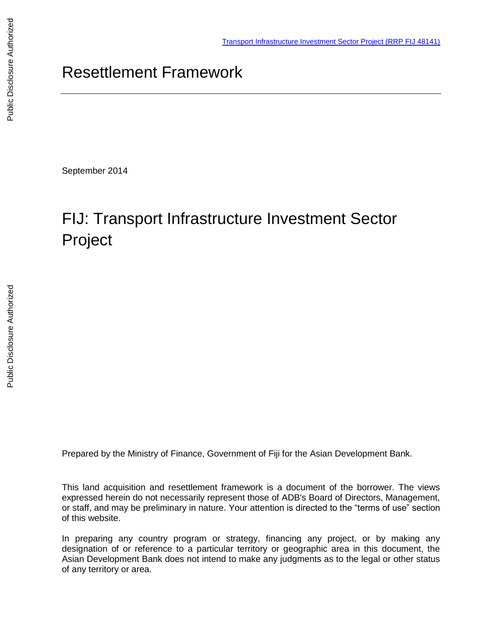# Resettlement Framework

September 2014

# FIJ: Transport Infrastructure Investment Sector Project

Prepared by the Ministry of Finance, Government of Fiji for the Asian Development Bank.

This land acquisition and resettlement framework is a document of the borrower. The views expressed herein do not necessarily represent those of ADB's Board of Directors, Management, or staff, and may be preliminary in nature. Your attention is directed to the "terms of use" section of this website.

In preparing any country program or strategy, financing any project, or by making any designation of or reference to a particular territory or geographic area in this document, the Asian Development Bank does not intend to make any judgments as to the legal or other status of any territory or area.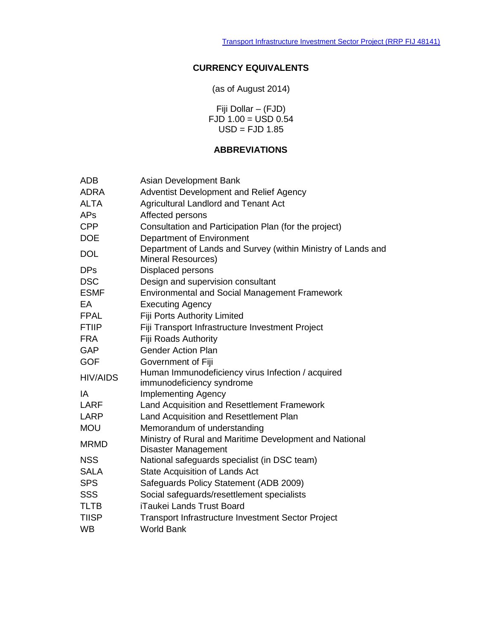### **CURRENCY EQUIVALENTS**

(as of August 2014)

Fiji Dollar – (FJD) FJD 1.00 = USD 0.54  $USD = FJD 1.85$ 

### **ABBREVIATIONS**

| <b>ADB</b>      | Asian Development Bank                                                             |
|-----------------|------------------------------------------------------------------------------------|
| <b>ADRA</b>     | <b>Adventist Development and Relief Agency</b>                                     |
| <b>ALTA</b>     | <b>Agricultural Landlord and Tenant Act</b>                                        |
| <b>APs</b>      | Affected persons                                                                   |
| <b>CPP</b>      | Consultation and Participation Plan (for the project)                              |
| <b>DOE</b>      | Department of Environment                                                          |
| <b>DOL</b>      | Department of Lands and Survey (within Ministry of Lands and<br>Mineral Resources) |
| <b>DPs</b>      | Displaced persons                                                                  |
| <b>DSC</b>      | Design and supervision consultant                                                  |
| <b>ESMF</b>     | <b>Environmental and Social Management Framework</b>                               |
| EA              | <b>Executing Agency</b>                                                            |
| <b>FPAL</b>     | Fiji Ports Authority Limited                                                       |
| <b>FTIIP</b>    | Fiji Transport Infrastructure Investment Project                                   |
| <b>FRA</b>      | <b>Fiji Roads Authority</b>                                                        |
| <b>GAP</b>      | <b>Gender Action Plan</b>                                                          |
| <b>GOF</b>      | Government of Fiji                                                                 |
| <b>HIV/AIDS</b> | Human Immunodeficiency virus Infection / acquired<br>immunodeficiency syndrome     |
| IA              | <b>Implementing Agency</b>                                                         |
| LARF            | Land Acquisition and Resettlement Framework                                        |
| <b>LARP</b>     | Land Acquisition and Resettlement Plan                                             |
| <b>MOU</b>      | Memorandum of understanding                                                        |
| <b>MRMD</b>     | Ministry of Rural and Maritime Development and National<br>Disaster Management     |
| <b>NSS</b>      | National safeguards specialist (in DSC team)                                       |
| <b>SALA</b>     | State Acquisition of Lands Act                                                     |
| <b>SPS</b>      | Safeguards Policy Statement (ADB 2009)                                             |
| <b>SSS</b>      | Social safeguards/resettlement specialists                                         |
| <b>TLTB</b>     | <b>iTaukei Lands Trust Board</b>                                                   |
| <b>TIISP</b>    | <b>Transport Infrastructure Investment Sector Project</b>                          |
| <b>WB</b>       | <b>World Bank</b>                                                                  |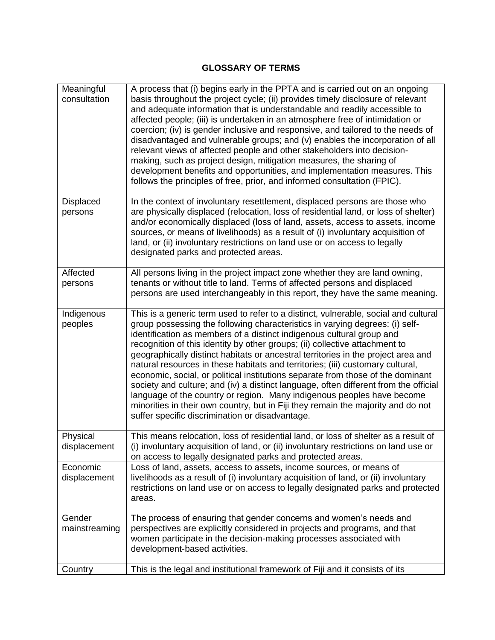### **GLOSSARY OF TERMS**

| Meaningful<br>consultation | A process that (i) begins early in the PPTA and is carried out on an ongoing<br>basis throughout the project cycle; (ii) provides timely disclosure of relevant<br>and adequate information that is understandable and readily accessible to<br>affected people; (iii) is undertaken in an atmosphere free of intimidation or<br>coercion; (iv) is gender inclusive and responsive, and tailored to the needs of<br>disadvantaged and vulnerable groups; and (v) enables the incorporation of all<br>relevant views of affected people and other stakeholders into decision-<br>making, such as project design, mitigation measures, the sharing of<br>development benefits and opportunities, and implementation measures. This<br>follows the principles of free, prior, and informed consultation (FPIC).                                                                                   |
|----------------------------|------------------------------------------------------------------------------------------------------------------------------------------------------------------------------------------------------------------------------------------------------------------------------------------------------------------------------------------------------------------------------------------------------------------------------------------------------------------------------------------------------------------------------------------------------------------------------------------------------------------------------------------------------------------------------------------------------------------------------------------------------------------------------------------------------------------------------------------------------------------------------------------------|
| Displaced<br>persons       | In the context of involuntary resettlement, displaced persons are those who<br>are physically displaced (relocation, loss of residential land, or loss of shelter)<br>and/or economically displaced (loss of land, assets, access to assets, income<br>sources, or means of livelihoods) as a result of (i) involuntary acquisition of<br>land, or (ii) involuntary restrictions on land use or on access to legally<br>designated parks and protected areas.                                                                                                                                                                                                                                                                                                                                                                                                                                  |
| Affected<br>persons        | All persons living in the project impact zone whether they are land owning,<br>tenants or without title to land. Terms of affected persons and displaced<br>persons are used interchangeably in this report, they have the same meaning.                                                                                                                                                                                                                                                                                                                                                                                                                                                                                                                                                                                                                                                       |
| Indigenous<br>peoples      | This is a generic term used to refer to a distinct, vulnerable, social and cultural<br>group possessing the following characteristics in varying degrees: (i) self-<br>identification as members of a distinct indigenous cultural group and<br>recognition of this identity by other groups; (ii) collective attachment to<br>geographically distinct habitats or ancestral territories in the project area and<br>natural resources in these habitats and territories; (iii) customary cultural,<br>economic, social, or political institutions separate from those of the dominant<br>society and culture; and (iv) a distinct language, often different from the official<br>language of the country or region. Many indigenous peoples have become<br>minorities in their own country, but in Fiji they remain the majority and do not<br>suffer specific discrimination or disadvantage. |
| Physical<br>displacement   | This means relocation, loss of residential land, or loss of shelter as a result of<br>(i) involuntary acquisition of land, or (ii) involuntary restrictions on land use or<br>on access to legally designated parks and protected areas.                                                                                                                                                                                                                                                                                                                                                                                                                                                                                                                                                                                                                                                       |
| Economic<br>displacement   | Loss of land, assets, access to assets, income sources, or means of<br>livelihoods as a result of (i) involuntary acquisition of land, or (ii) involuntary<br>restrictions on land use or on access to legally designated parks and protected<br>areas.                                                                                                                                                                                                                                                                                                                                                                                                                                                                                                                                                                                                                                        |
| Gender<br>mainstreaming    | The process of ensuring that gender concerns and women's needs and<br>perspectives are explicitly considered in projects and programs, and that<br>women participate in the decision-making processes associated with<br>development-based activities.                                                                                                                                                                                                                                                                                                                                                                                                                                                                                                                                                                                                                                         |
| Country                    | This is the legal and institutional framework of Fiji and it consists of its                                                                                                                                                                                                                                                                                                                                                                                                                                                                                                                                                                                                                                                                                                                                                                                                                   |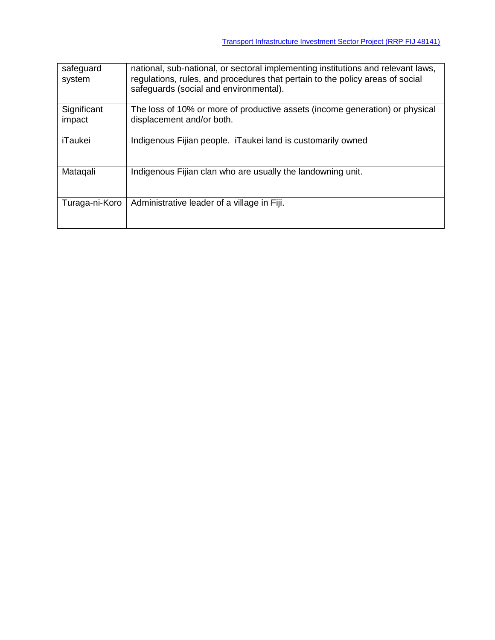| safeguard<br>system   | national, sub-national, or sectoral implementing institutions and relevant laws,<br>regulations, rules, and procedures that pertain to the policy areas of social<br>safeguards (social and environmental). |
|-----------------------|-------------------------------------------------------------------------------------------------------------------------------------------------------------------------------------------------------------|
| Significant<br>impact | The loss of 10% or more of productive assets (income generation) or physical<br>displacement and/or both.                                                                                                   |
|                       |                                                                                                                                                                                                             |
| iTaukei               | Indigenous Fijian people. iTaukei land is customarily owned                                                                                                                                                 |
| Mataqali              | Indigenous Fijian clan who are usually the landowning unit.                                                                                                                                                 |
| Turaga-ni-Koro        | Administrative leader of a village in Fiji.                                                                                                                                                                 |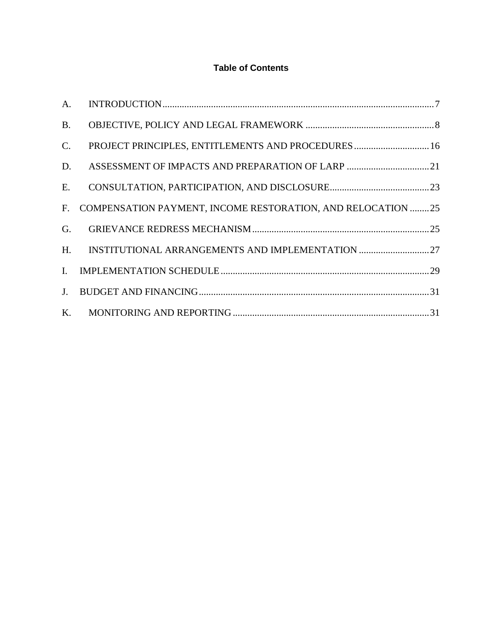### **Table of Contents**

| A.           |                                                                |  |
|--------------|----------------------------------------------------------------|--|
| <b>B.</b>    |                                                                |  |
| $C$ .        | PROJECT PRINCIPLES, ENTITLEMENTS AND PROCEDURES 16             |  |
| D.           |                                                                |  |
| $E_{\cdot}$  |                                                                |  |
|              | F. COMPENSATION PAYMENT, INCOME RESTORATION, AND RELOCATION 25 |  |
| G.           |                                                                |  |
|              |                                                                |  |
| $\mathbf{L}$ |                                                                |  |
|              |                                                                |  |
|              |                                                                |  |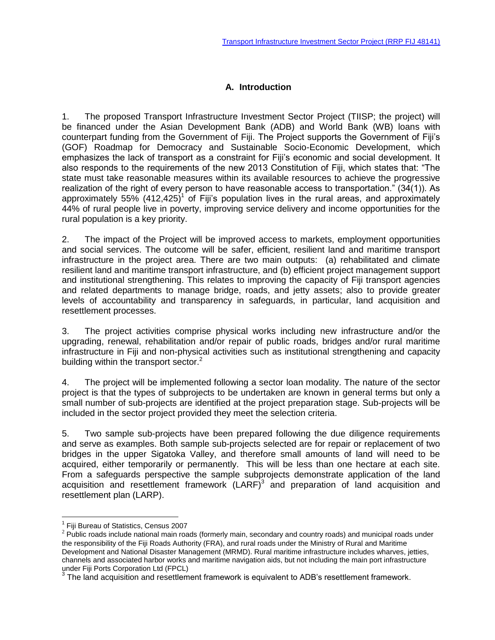### **A. Introduction**

<span id="page-5-0"></span>1. The proposed Transport Infrastructure Investment Sector Project (TIISP; the project) will be financed under the Asian Development Bank (ADB) and World Bank (WB) loans with counterpart funding from the Government of Fiji. The Project supports the Government of Fiji's (GOF) Roadmap for Democracy and Sustainable Socio-Economic Development, which emphasizes the lack of transport as a constraint for Fiji's economic and social development. It also responds to the requirements of the new 2013 Constitution of Fiji, which states that: "The state must take reasonable measures within its available resources to achieve the progressive realization of the right of every person to have reasonable access to transportation." (34(1)). As approximately 55% (412,425)<sup>1</sup> of Fiji's population lives in the rural areas, and approximately 44% of rural people live in poverty, improving service delivery and income opportunities for the rural population is a key priority.

2. The impact of the Project will be improved access to markets, employment opportunities and social services. The outcome will be safer, efficient, resilient land and maritime transport infrastructure in the project area. There are two main outputs: (a) rehabilitated and climate resilient land and maritime transport infrastructure, and (b) efficient project management support and institutional strengthening. This relates to improving the capacity of Fiji transport agencies and related departments to manage bridge, roads, and jetty assets; also to provide greater levels of accountability and transparency in safeguards, in particular, land acquisition and resettlement processes.

3. The project activities comprise physical works including new infrastructure and/or the upgrading, renewal, rehabilitation and/or repair of public roads, bridges and/or rural maritime infrastructure in Fiji and non-physical activities such as institutional strengthening and capacity building within the transport sector.<sup>2</sup>

4. The project will be implemented following a sector loan modality. The nature of the sector project is that the types of subprojects to be undertaken are known in general terms but only a small number of sub-projects are identified at the project preparation stage. Sub-projects will be included in the sector project provided they meet the selection criteria.

5. Two sample sub-projects have been prepared following the due diligence requirements and serve as examples. Both sample sub-projects selected are for repair or replacement of two bridges in the upper Sigatoka Valley, and therefore small amounts of land will need to be acquired, either temporarily or permanently. This will be less than one hectare at each site. From a safeguards perspective the sample subprojects demonstrate application of the land acquisition and resettlement framework  $(LARF)^3$  and preparation of land acquisition and resettlement plan (LARP).

 $\overline{a}$ <sup>1</sup> Fiji Bureau of Statistics, Census 2007

 $2$  Public roads include national main roads (formerly main, secondary and country roads) and municipal roads under the responsibility of the Fiji Roads Authority (FRA), and rural roads under the Ministry of Rural and Maritime Development and National Disaster Management (MRMD). Rural maritime infrastructure includes wharves, jetties, channels and associated harbor works and maritime navigation aids, but not including the main port infrastructure

under Fiji Ports Corporation Ltd (FPCL)<br><sup>3</sup> The land acquisition and resettlement framework is equivalent to ADB's resettlement framework.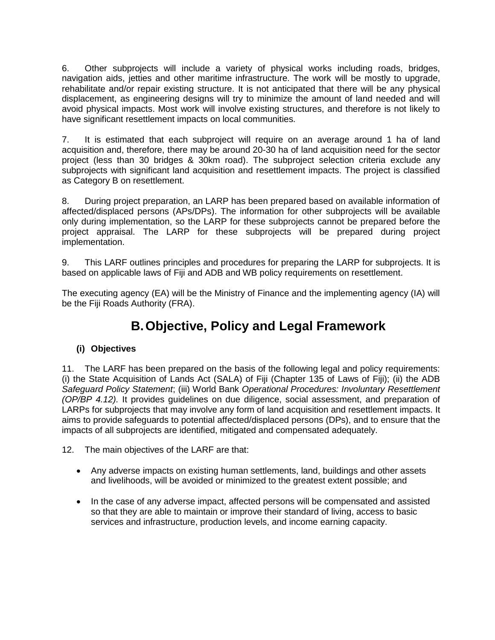6. Other subprojects will include a variety of physical works including roads, bridges, navigation aids, jetties and other maritime infrastructure. The work will be mostly to upgrade, rehabilitate and/or repair existing structure. It is not anticipated that there will be any physical displacement, as engineering designs will try to minimize the amount of land needed and will avoid physical impacts. Most work will involve existing structures, and therefore is not likely to have significant resettlement impacts on local communities.

7. It is estimated that each subproject will require on an average around 1 ha of land acquisition and, therefore, there may be around 20-30 ha of land acquisition need for the sector project (less than 30 bridges & 30km road). The subproject selection criteria exclude any subprojects with significant land acquisition and resettlement impacts. The project is classified as Category B on resettlement.

8. During project preparation, an LARP has been prepared based on available information of affected/displaced persons (APs/DPs). The information for other subprojects will be available only during implementation, so the LARP for these subprojects cannot be prepared before the project appraisal. The LARP for these subprojects will be prepared during project implementation.

9. This LARF outlines principles and procedures for preparing the LARP for subprojects. It is based on applicable laws of Fiji and ADB and WB policy requirements on resettlement.

The executing agency (EA) will be the Ministry of Finance and the implementing agency (IA) will be the Fiji Roads Authority (FRA).

# **B.Objective, Policy and Legal Framework**

### <span id="page-6-0"></span>**(i) Objectives**

11. The LARF has been prepared on the basis of the following legal and policy requirements: (i) the State Acquisition of Lands Act (SALA) of Fiji (Chapter 135 of Laws of Fiji); (ii) the ADB *Safeguard Policy Statement*; (iii) World Bank *Operational Procedures: Involuntary Resettlement (OP/BP 4.12).* It provides guidelines on due diligence, social assessment, and preparation of LARPs for subprojects that may involve any form of land acquisition and resettlement impacts. It aims to provide safeguards to potential affected/displaced persons (DPs), and to ensure that the impacts of all subprojects are identified, mitigated and compensated adequately.

12. The main objectives of the LARF are that:

- Any adverse impacts on existing human settlements, land, buildings and other assets and livelihoods, will be avoided or minimized to the greatest extent possible; and
- In the case of any adverse impact, affected persons will be compensated and assisted so that they are able to maintain or improve their standard of living, access to basic services and infrastructure, production levels, and income earning capacity.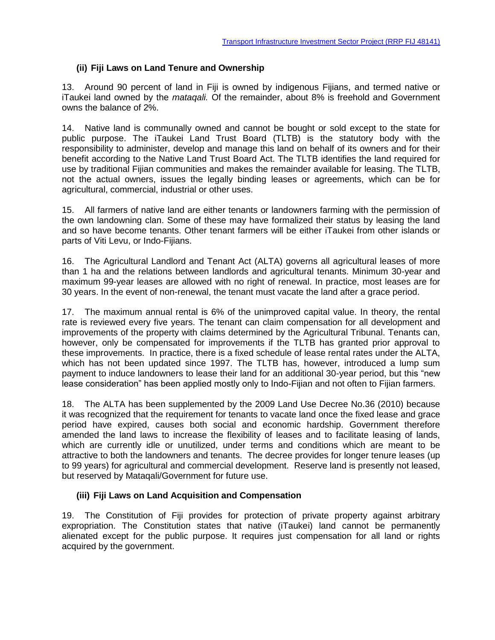#### **(ii) Fiji Laws on Land Tenure and Ownership**

13. Around 90 percent of land in Fiji is owned by indigenous Fijians, and termed native or iTaukei land owned by the *mataqali.* Of the remainder, about 8% is freehold and Government owns the balance of 2%.

14. Native land is communally owned and cannot be bought or sold except to the state for public purpose. The iTaukei Land Trust Board (TLTB) is the statutory body with the responsibility to administer, develop and manage this land on behalf of its owners and for their benefit according to the Native Land Trust Board Act. The TLTB identifies the land required for use by traditional Fijian communities and makes the remainder available for leasing. The TLTB, not the actual owners, issues the legally binding leases or agreements, which can be for agricultural, commercial, industrial or other uses.

15. All farmers of native land are either tenants or landowners farming with the permission of the own landowning clan. Some of these may have formalized their status by leasing the land and so have become tenants. Other tenant farmers will be either iTaukei from other islands or parts of Viti Levu, or Indo-Fijians.

16. The Agricultural Landlord and Tenant Act (ALTA) governs all agricultural leases of more than 1 ha and the relations between landlords and agricultural tenants. Minimum 30-year and maximum 99-year leases are allowed with no right of renewal. In practice, most leases are for 30 years. In the event of non-renewal, the tenant must vacate the land after a grace period.

17. The maximum annual rental is 6% of the unimproved capital value. In theory, the rental rate is reviewed every five years. The tenant can claim compensation for all development and improvements of the property with claims determined by the Agricultural Tribunal. Tenants can, however, only be compensated for improvements if the TLTB has granted prior approval to these improvements. In practice, there is a fixed schedule of lease rental rates under the ALTA, which has not been updated since 1997. The TLTB has, however, introduced a lump sum payment to induce landowners to lease their land for an additional 30-year period, but this "new lease consideration" has been applied mostly only to Indo-Fijian and not often to Fijian farmers.

18. The ALTA has been supplemented by the 2009 Land Use Decree No.36 (2010) because it was recognized that the requirement for tenants to vacate land once the fixed lease and grace period have expired, causes both social and economic hardship. Government therefore amended the land laws to increase the flexibility of leases and to facilitate leasing of lands, which are currently idle or unutilized, under terms and conditions which are meant to be attractive to both the landowners and tenants. The decree provides for longer tenure leases (up to 99 years) for agricultural and commercial development. Reserve land is presently not leased, but reserved by Mataqali/Government for future use.

#### **(iii) Fiji Laws on Land Acquisition and Compensation**

19. The Constitution of Fiji provides for protection of private property against arbitrary expropriation. The Constitution states that native (iTaukei) land cannot be permanently alienated except for the public purpose. It requires just compensation for all land or rights acquired by the government.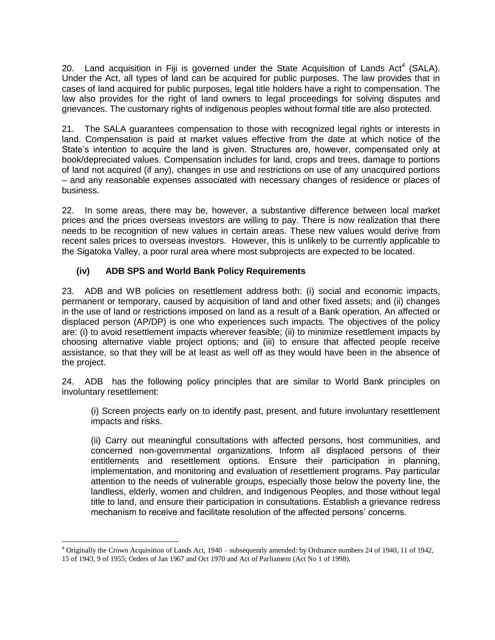20. Land acquisition in Fiji is governed under the State Acquisition of Lands Act<sup>4</sup> (SALA). Under the Act, all types of land can be acquired for public purposes. The law provides that in cases of land acquired for public purposes, legal title holders have a right to compensation. The law also provides for the right of land owners to legal proceedings for solving disputes and grievances. The customary rights of indigenous peoples without formal title are also protected.

21. The SALA guarantees compensation to those with recognized legal rights or interests in land. Compensation is paid at market values effective from the date at which notice of the State's intention to acquire the land is given. Structures are, however, compensated only at book/depreciated values. Compensation includes for land, crops and trees, damage to portions of land not acquired (if any), changes in use and restrictions on use of any unacquired portions – and any reasonable expenses associated with necessary changes of residence or places of business.

22. In some areas, there may be, however, a substantive difference between local market prices and the prices overseas investors are willing to pay. There is now realization that there needs to be recognition of new values in certain areas. These new values would derive from recent sales prices to overseas investors. However, this is unlikely to be currently applicable to the Sigatoka Valley, a poor rural area where most subprojects are expected to be located.

#### **(iv) ADB SPS and World Bank Policy Requirements**

 $\overline{a}$ 

23. ADB and WB policies on resettlement address both: (i) social and economic impacts, permanent or temporary, caused by acquisition of land and other fixed assets; and (ii) changes in the use of land or restrictions imposed on land as a result of a Bank operation. An affected or displaced person (AP/DP) is one who experiences such impacts. The objectives of the policy are: (i) to avoid resettlement impacts wherever feasible; (ii) to minimize resettlement impacts by choosing alternative viable project options; and (iii) to ensure that affected people receive assistance, so that they will be at least as well off as they would have been in the absence of the project.

24. ADB has the following policy principles that are similar to World Bank principles on involuntary resettlement:

(i) Screen projects early on to identify past, present, and future involuntary resettlement impacts and risks.

(ii) Carry out meaningful consultations with affected persons, host communities, and concerned non-governmental organizations. Inform all displaced persons of their entitlements and resettlement options. Ensure their participation in planning, implementation, and monitoring and evaluation of resettlement programs. Pay particular attention to the needs of vulnerable groups, especially those below the poverty line, the landless, elderly, women and children, and Indigenous Peoples, and those without legal title to land, and ensure their participation in consultations. Establish a grievance redress mechanism to receive and facilitate resolution of the affected persons' concerns.

<sup>4</sup> Originally the Crown Acquisition of Lands Act, 1940 – subsequently amended: by Ordnance numbers 24 of 1940, 11 of 1942, 15 of 1943, 9 of 1955; Orders of Jan 1967 and Oct 1970 and Act of Parliament (Act No 1 of 1998).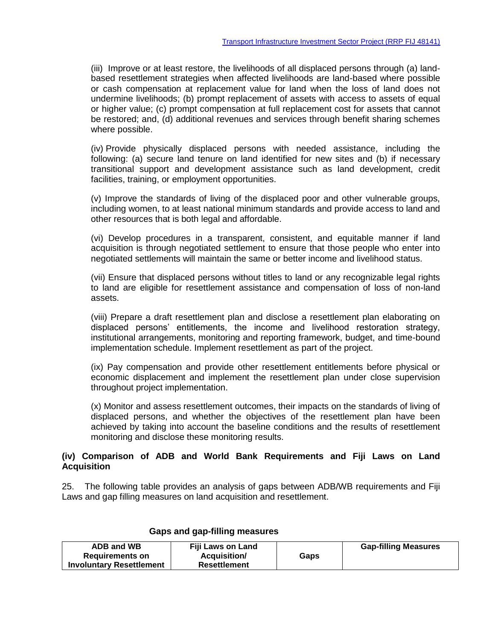(iii) Improve or at least restore, the livelihoods of all displaced persons through (a) landbased resettlement strategies when affected livelihoods are land-based where possible or cash compensation at replacement value for land when the loss of land does not undermine livelihoods; (b) prompt replacement of assets with access to assets of equal or higher value; (c) prompt compensation at full replacement cost for assets that cannot be restored; and, (d) additional revenues and services through benefit sharing schemes where possible.

(iv) Provide physically displaced persons with needed assistance, including the following: (a) secure land tenure on land identified for new sites and (b) if necessary transitional support and development assistance such as land development, credit facilities, training, or employment opportunities.

(v) Improve the standards of living of the displaced poor and other vulnerable groups, including women, to at least national minimum standards and provide access to land and other resources that is both legal and affordable.

(vi) Develop procedures in a transparent, consistent, and equitable manner if land acquisition is through negotiated settlement to ensure that those people who enter into negotiated settlements will maintain the same or better income and livelihood status.

(vii) Ensure that displaced persons without titles to land or any recognizable legal rights to land are eligible for resettlement assistance and compensation of loss of non-land assets.

(viii) Prepare a draft resettlement plan and disclose a resettlement plan elaborating on displaced persons' entitlements, the income and livelihood restoration strategy, institutional arrangements, monitoring and reporting framework, budget, and time-bound implementation schedule. Implement resettlement as part of the project.

(ix) Pay compensation and provide other resettlement entitlements before physical or economic displacement and implement the resettlement plan under close supervision throughout project implementation.

(x) Monitor and assess resettlement outcomes, their impacts on the standards of living of displaced persons, and whether the objectives of the resettlement plan have been achieved by taking into account the baseline conditions and the results of resettlement monitoring and disclose these monitoring results.

#### **(iv) Comparison of ADB and World Bank Requirements and Fiji Laws on Land Acquisition**

25. The following table provides an analysis of gaps between ADB/WB requirements and Fiji Laws and gap filling measures on land acquisition and resettlement.

| ADB and WB                      | <b>Fiji Laws on Land</b> |      | <b>Gap-filling Measures</b> |
|---------------------------------|--------------------------|------|-----------------------------|
| <b>Requirements on</b>          | Acquisition/             | Gaps |                             |
| <b>Involuntary Resettlement</b> | <b>Resettlement</b>      |      |                             |

#### **Gaps and gap-filling measures**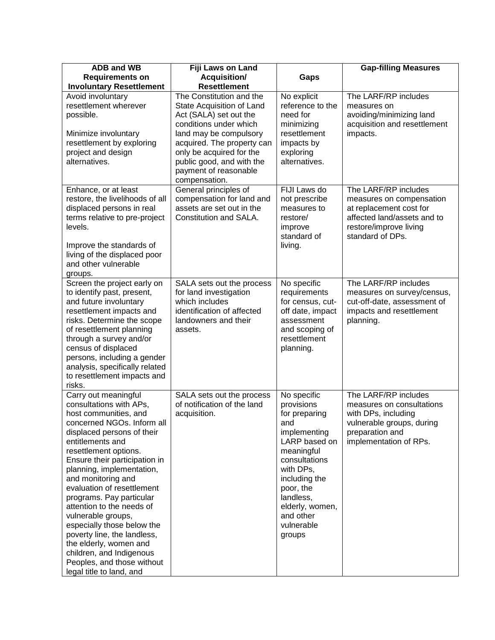| <b>ADB and WB</b>                                                                                                                                                                                                                                                                                                                                                                                                                                                                                                                                               | Fiji Laws on Land                                                                                                                                                                                                                                                    |                                                                                                                                                                                                                                   | <b>Gap-filling Measures</b>                                                                                                                              |
|-----------------------------------------------------------------------------------------------------------------------------------------------------------------------------------------------------------------------------------------------------------------------------------------------------------------------------------------------------------------------------------------------------------------------------------------------------------------------------------------------------------------------------------------------------------------|----------------------------------------------------------------------------------------------------------------------------------------------------------------------------------------------------------------------------------------------------------------------|-----------------------------------------------------------------------------------------------------------------------------------------------------------------------------------------------------------------------------------|----------------------------------------------------------------------------------------------------------------------------------------------------------|
| <b>Requirements on</b>                                                                                                                                                                                                                                                                                                                                                                                                                                                                                                                                          | Acquisition/                                                                                                                                                                                                                                                         | Gaps                                                                                                                                                                                                                              |                                                                                                                                                          |
| <b>Involuntary Resettlement</b>                                                                                                                                                                                                                                                                                                                                                                                                                                                                                                                                 | <b>Resettlement</b>                                                                                                                                                                                                                                                  |                                                                                                                                                                                                                                   |                                                                                                                                                          |
| Avoid involuntary<br>resettlement wherever<br>possible.<br>Minimize involuntary<br>resettlement by exploring<br>project and design<br>alternatives.                                                                                                                                                                                                                                                                                                                                                                                                             | The Constitution and the<br>State Acquisition of Land<br>Act (SALA) set out the<br>conditions under which<br>land may be compulsory<br>acquired. The property can<br>only be acquired for the<br>public good, and with the<br>payment of reasonable<br>compensation. | No explicit<br>reference to the<br>need for<br>minimizing<br>resettlement<br>impacts by<br>exploring<br>alternatives.                                                                                                             | The LARF/RP includes<br>measures on<br>avoiding/minimizing land<br>acquisition and resettlement<br>impacts.                                              |
| Enhance, or at least<br>restore, the livelihoods of all<br>displaced persons in real<br>terms relative to pre-project<br>levels.<br>Improve the standards of<br>living of the displaced poor<br>and other vulnerable<br>groups.                                                                                                                                                                                                                                                                                                                                 | General principles of<br>compensation for land and<br>assets are set out in the<br>Constitution and SALA.                                                                                                                                                            | FIJI Laws do<br>not prescribe<br>measures to<br>restore/<br>improve<br>standard of<br>living.                                                                                                                                     | The LARF/RP includes<br>measures on compensation<br>at replacement cost for<br>affected land/assets and to<br>restore/improve living<br>standard of DPs. |
| Screen the project early on<br>to identify past, present,<br>and future involuntary<br>resettlement impacts and<br>risks. Determine the scope<br>of resettlement planning<br>through a survey and/or<br>census of displaced<br>persons, including a gender<br>analysis, specifically related<br>to resettlement impacts and<br>risks.                                                                                                                                                                                                                           | SALA sets out the process<br>for land investigation<br>which includes<br>identification of affected<br>landowners and their<br>assets.                                                                                                                               | No specific<br>requirements<br>for census, cut-<br>off date, impact<br>assessment<br>and scoping of<br>resettlement<br>planning.                                                                                                  | The LARF/RP includes<br>measures on survey/census,<br>cut-off-date, assessment of<br>impacts and resettlement<br>planning.                               |
| Carry out meaningful<br>consultations with APs,<br>host communities, and<br>concerned NGOs. Inform all<br>displaced persons of their<br>entitlements and<br>resettlement options.<br>Ensure their participation in<br>planning, implementation,<br>and monitoring and<br>evaluation of resettlement<br>programs. Pay particular<br>attention to the needs of<br>vulnerable groups,<br>especially those below the<br>poverty line, the landless,<br>the elderly, women and<br>children, and Indigenous<br>Peoples, and those without<br>legal title to land, and | SALA sets out the process<br>of notification of the land<br>acquisition.                                                                                                                                                                                             | No specific<br>provisions<br>for preparing<br>and<br>implementing<br>LARP based on<br>meaningful<br>consultations<br>with DPs,<br>including the<br>poor, the<br>landless,<br>elderly, women,<br>and other<br>vulnerable<br>groups | The LARF/RP includes<br>measures on consultations<br>with DPs, including<br>vulnerable groups, during<br>preparation and<br>implementation of RPs.       |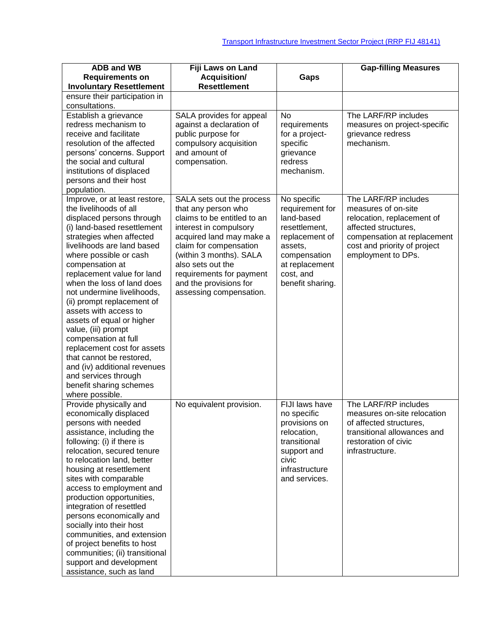| <b>ADB and WB</b>                                       | Fiji Laws on Land                                  |                             | <b>Gap-filling Measures</b>                                 |
|---------------------------------------------------------|----------------------------------------------------|-----------------------------|-------------------------------------------------------------|
| <b>Requirements on</b>                                  | <b>Acquisition/</b>                                | Gaps                        |                                                             |
| <b>Involuntary Resettlement</b>                         | <b>Resettlement</b>                                |                             |                                                             |
| ensure their participation in                           |                                                    |                             |                                                             |
| consultations.                                          |                                                    |                             |                                                             |
| Establish a grievance                                   | SALA provides for appeal                           | <b>No</b>                   | The LARF/RP includes                                        |
| redress mechanism to                                    | against a declaration of                           | requirements                | measures on project-specific                                |
| receive and facilitate                                  | public purpose for                                 | for a project-              | grievance redress                                           |
| resolution of the affected                              | compulsory acquisition                             | specific                    | mechanism.                                                  |
| persons' concerns. Support                              | and amount of                                      | grievance                   |                                                             |
| the social and cultural                                 | compensation.                                      | redress                     |                                                             |
| institutions of displaced                               |                                                    | mechanism.                  |                                                             |
| persons and their host                                  |                                                    |                             |                                                             |
| population.                                             |                                                    |                             |                                                             |
| Improve, or at least restore,                           | SALA sets out the process                          | No specific                 | The LARF/RP includes                                        |
| the livelihoods of all                                  | that any person who                                | requirement for             | measures of on-site                                         |
| displaced persons through                               | claims to be entitled to an                        | land-based                  | relocation, replacement of                                  |
| (i) land-based resettlement                             | interest in compulsory                             | resettlement,               | affected structures,                                        |
| strategies when affected<br>livelihoods are land based  | acquired land may make a<br>claim for compensation | replacement of<br>assets,   | compensation at replacement<br>cost and priority of project |
| where possible or cash                                  | (within 3 months). SALA                            | compensation                | employment to DPs.                                          |
| compensation at                                         | also sets out the                                  | at replacement              |                                                             |
| replacement value for land                              | requirements for payment                           | cost, and                   |                                                             |
| when the loss of land does                              | and the provisions for                             | benefit sharing.            |                                                             |
| not undermine livelihoods,                              | assessing compensation.                            |                             |                                                             |
| (ii) prompt replacement of                              |                                                    |                             |                                                             |
| assets with access to                                   |                                                    |                             |                                                             |
| assets of equal or higher                               |                                                    |                             |                                                             |
| value, (iii) prompt                                     |                                                    |                             |                                                             |
| compensation at full                                    |                                                    |                             |                                                             |
| replacement cost for assets                             |                                                    |                             |                                                             |
| that cannot be restored,                                |                                                    |                             |                                                             |
| and (iv) additional revenues                            |                                                    |                             |                                                             |
| and services through                                    |                                                    |                             |                                                             |
| benefit sharing schemes                                 |                                                    |                             |                                                             |
| where possible.                                         |                                                    |                             |                                                             |
| Provide physically and                                  | No equivalent provision.                           | FIJI laws have              | The LARF/RP includes                                        |
| economically displaced                                  |                                                    | no specific                 | measures on-site relocation                                 |
| persons with needed                                     |                                                    | provisions on               | of affected structures,<br>transitional allowances and      |
| assistance, including the<br>following: (i) if there is |                                                    | relocation,<br>transitional | restoration of civic                                        |
| relocation, secured tenure                              |                                                    | support and                 | infrastructure.                                             |
| to relocation land, better                              |                                                    | civic                       |                                                             |
| housing at resettlement                                 |                                                    | infrastructure              |                                                             |
| sites with comparable                                   |                                                    | and services.               |                                                             |
| access to employment and                                |                                                    |                             |                                                             |
| production opportunities,                               |                                                    |                             |                                                             |
| integration of resettled                                |                                                    |                             |                                                             |
| persons economically and                                |                                                    |                             |                                                             |
| socially into their host                                |                                                    |                             |                                                             |
| communities, and extension                              |                                                    |                             |                                                             |
| of project benefits to host                             |                                                    |                             |                                                             |
| communities; (ii) transitional                          |                                                    |                             |                                                             |
| support and development                                 |                                                    |                             |                                                             |
| assistance, such as land                                |                                                    |                             |                                                             |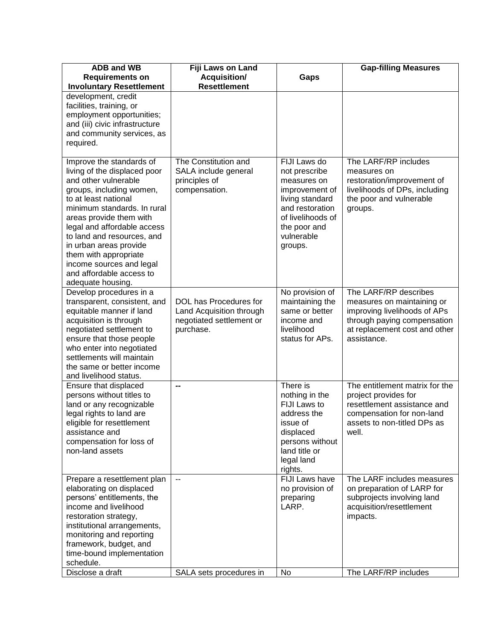| <b>ADB and WB</b>                                        | Fiji Laws on Land                            |                                    | <b>Gap-filling Measures</b>                              |
|----------------------------------------------------------|----------------------------------------------|------------------------------------|----------------------------------------------------------|
| <b>Requirements on</b>                                   | <b>Acquisition/</b>                          | Gaps                               |                                                          |
| <b>Involuntary Resettlement</b>                          | <b>Resettlement</b>                          |                                    |                                                          |
| development, credit                                      |                                              |                                    |                                                          |
| facilities, training, or                                 |                                              |                                    |                                                          |
| employment opportunities;                                |                                              |                                    |                                                          |
| and (iii) civic infrastructure                           |                                              |                                    |                                                          |
| and community services, as                               |                                              |                                    |                                                          |
| required.                                                |                                              |                                    |                                                          |
| Improve the standards of<br>living of the displaced poor | The Constitution and<br>SALA include general | FIJI Laws do<br>not prescribe      | The LARF/RP includes<br>measures on                      |
| and other vulnerable                                     | principles of                                | measures on                        | restoration/improvement of                               |
| groups, including women,                                 | compensation.                                | improvement of                     | livelihoods of DPs, including                            |
| to at least national                                     |                                              | living standard                    | the poor and vulnerable                                  |
| minimum standards. In rural                              |                                              | and restoration                    | groups.                                                  |
| areas provide them with                                  |                                              | of livelihoods of                  |                                                          |
| legal and affordable access                              |                                              | the poor and                       |                                                          |
| to land and resources, and                               |                                              | vulnerable                         |                                                          |
| in urban areas provide                                   |                                              | groups.                            |                                                          |
| them with appropriate                                    |                                              |                                    |                                                          |
| income sources and legal                                 |                                              |                                    |                                                          |
| and affordable access to                                 |                                              |                                    |                                                          |
| adequate housing.<br>Develop procedures in a             |                                              |                                    | The LARF/RP describes                                    |
| transparent, consistent, and                             | DOL has Procedures for                       | No provision of<br>maintaining the | measures on maintaining or                               |
| equitable manner if land                                 | Land Acquisition through                     | same or better                     | improving livelihoods of APs                             |
| acquisition is through                                   | negotiated settlement or                     | income and                         | through paying compensation                              |
| negotiated settlement to                                 | purchase.                                    | livelihood                         | at replacement cost and other                            |
| ensure that those people                                 |                                              | status for APs.                    | assistance.                                              |
| who enter into negotiated                                |                                              |                                    |                                                          |
| settlements will maintain                                |                                              |                                    |                                                          |
| the same or better income                                |                                              |                                    |                                                          |
| and livelihood status.                                   |                                              |                                    |                                                          |
| Ensure that displaced                                    | --                                           | There is                           | The entitlement matrix for the                           |
| persons without titles to                                |                                              | nothing in the                     | project provides for                                     |
| land or any recognizable                                 |                                              | FIJI Laws to<br>address the        | resettlement assistance and                              |
| legal rights to land are<br>eligible for resettlement    |                                              |                                    | compensation for non-land<br>assets to non-titled DPs as |
| assistance and                                           |                                              | issue of<br>displaced              | well.                                                    |
| compensation for loss of                                 |                                              | persons without                    |                                                          |
| non-land assets                                          |                                              | land title or                      |                                                          |
|                                                          |                                              | legal land                         |                                                          |
|                                                          |                                              | rights.                            |                                                          |
| Prepare a resettlement plan                              | $\overline{\phantom{a}}$                     | FIJI Laws have                     | The LARF includes measures                               |
| elaborating on displaced                                 |                                              | no provision of                    | on preparation of LARP for                               |
| persons' entitlements, the                               |                                              | preparing                          | subprojects involving land                               |
| income and livelihood                                    |                                              | LARP.                              | acquisition/resettlement                                 |
| restoration strategy,                                    |                                              |                                    | impacts.                                                 |
| institutional arrangements,                              |                                              |                                    |                                                          |
| monitoring and reporting                                 |                                              |                                    |                                                          |
| framework, budget, and<br>time-bound implementation      |                                              |                                    |                                                          |
| schedule.                                                |                                              |                                    |                                                          |
| Disclose a draft                                         | SALA sets procedures in                      | No                                 | The LARF/RP includes                                     |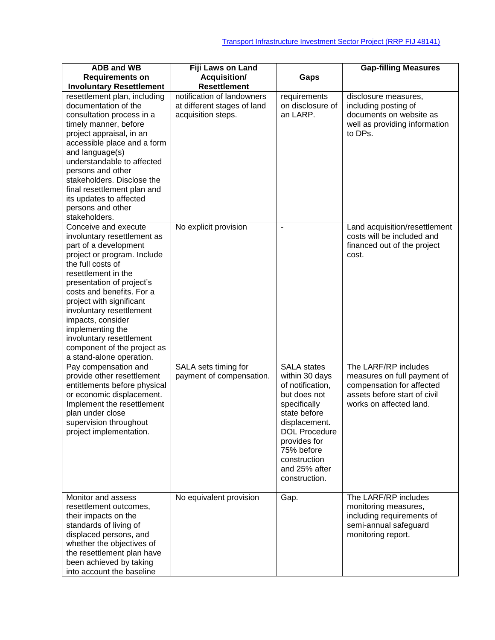| <b>ADB and WB</b>                               | Fiji Laws on Land           |                      | <b>Gap-filling Measures</b>              |
|-------------------------------------------------|-----------------------------|----------------------|------------------------------------------|
| <b>Requirements on</b>                          | Acquisition/                | Gaps                 |                                          |
| <b>Involuntary Resettlement</b>                 | <b>Resettlement</b>         |                      |                                          |
| resettlement plan, including                    | notification of landowners  | requirements         | disclosure measures,                     |
| documentation of the                            | at different stages of land | on disclosure of     | including posting of                     |
| consultation process in a                       | acquisition steps.          | an LARP.             | documents on website as                  |
| timely manner, before                           |                             |                      |                                          |
|                                                 |                             |                      | well as providing information<br>to DPs. |
| project appraisal, in an                        |                             |                      |                                          |
| accessible place and a form                     |                             |                      |                                          |
| and language(s)                                 |                             |                      |                                          |
| understandable to affected<br>persons and other |                             |                      |                                          |
|                                                 |                             |                      |                                          |
| stakeholders. Disclose the                      |                             |                      |                                          |
| final resettlement plan and                     |                             |                      |                                          |
| its updates to affected                         |                             |                      |                                          |
| persons and other                               |                             |                      |                                          |
| stakeholders.                                   |                             |                      |                                          |
| Conceive and execute                            | No explicit provision       | $\blacksquare$       | Land acquisition/resettlement            |
| involuntary resettlement as                     |                             |                      | costs will be included and               |
| part of a development                           |                             |                      | financed out of the project              |
| project or program. Include                     |                             |                      | cost.                                    |
| the full costs of                               |                             |                      |                                          |
| resettlement in the                             |                             |                      |                                          |
| presentation of project's                       |                             |                      |                                          |
| costs and benefits. For a                       |                             |                      |                                          |
| project with significant                        |                             |                      |                                          |
| involuntary resettlement                        |                             |                      |                                          |
| impacts, consider                               |                             |                      |                                          |
| implementing the                                |                             |                      |                                          |
| involuntary resettlement                        |                             |                      |                                          |
| component of the project as                     |                             |                      |                                          |
| a stand-alone operation.                        |                             |                      |                                          |
| Pay compensation and                            | SALA sets timing for        | <b>SALA</b> states   | The LARF/RP includes                     |
| provide other resettlement                      | payment of compensation.    | within 30 days       | measures on full payment of              |
| entitlements before physical                    |                             | of notification,     | compensation for affected                |
| or economic displacement.                       |                             | but does not         | assets before start of civil             |
| Implement the resettlement                      |                             | specifically         | works on affected land.                  |
| plan under close                                |                             | state before         |                                          |
| supervision throughout                          |                             | displacement.        |                                          |
| project implementation.                         |                             | <b>DOL Procedure</b> |                                          |
|                                                 |                             | provides for         |                                          |
|                                                 |                             | 75% before           |                                          |
|                                                 |                             | construction         |                                          |
|                                                 |                             | and 25% after        |                                          |
|                                                 |                             | construction.        |                                          |
|                                                 |                             |                      |                                          |
| Monitor and assess                              | No equivalent provision     | Gap.                 | The LARF/RP includes                     |
| resettlement outcomes,                          |                             |                      | monitoring measures,                     |
| their impacts on the                            |                             |                      | including requirements of                |
| standards of living of                          |                             |                      | semi-annual safeguard                    |
| displaced persons, and                          |                             |                      | monitoring report.                       |
| whether the objectives of                       |                             |                      |                                          |
| the resettlement plan have                      |                             |                      |                                          |
| been achieved by taking                         |                             |                      |                                          |
| into account the baseline                       |                             |                      |                                          |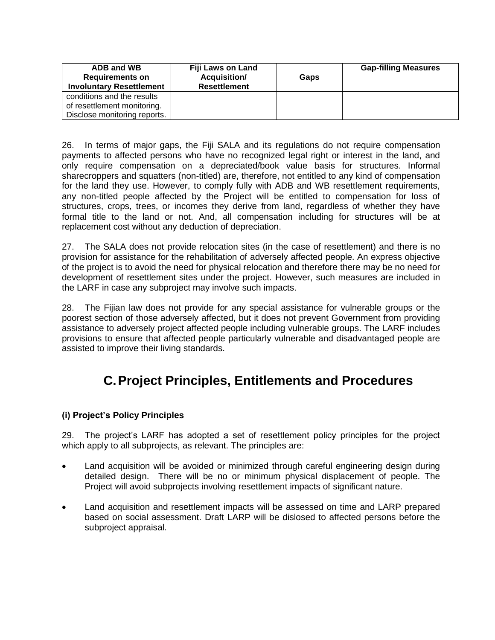| ADB and WB<br><b>Requirements on</b><br><b>Involuntary Resettlement</b> | Fiji Laws on Land<br><b>Acquisition/</b><br><b>Resettlement</b> | Gaps | <b>Gap-filling Measures</b> |
|-------------------------------------------------------------------------|-----------------------------------------------------------------|------|-----------------------------|
| conditions and the results                                              |                                                                 |      |                             |
| of resettlement monitoring.                                             |                                                                 |      |                             |
| Disclose monitoring reports.                                            |                                                                 |      |                             |

26. In terms of major gaps, the Fiji SALA and its regulations do not require compensation payments to affected persons who have no recognized legal right or interest in the land, and only require compensation on a depreciated/book value basis for structures. Informal sharecroppers and squatters (non-titled) are, therefore, not entitled to any kind of compensation for the land they use. However, to comply fully with ADB and WB resettlement requirements, any non-titled people affected by the Project will be entitled to compensation for loss of structures, crops, trees, or incomes they derive from land, regardless of whether they have formal title to the land or not. And, all compensation including for structures will be at replacement cost without any deduction of depreciation.

27. The SALA does not provide relocation sites (in the case of resettlement) and there is no provision for assistance for the rehabilitation of adversely affected people. An express objective of the project is to avoid the need for physical relocation and therefore there may be no need for development of resettlement sites under the project. However, such measures are included in the LARF in case any subproject may involve such impacts.

28. The Fijian law does not provide for any special assistance for vulnerable groups or the poorest section of those adversely affected, but it does not prevent Government from providing assistance to adversely project affected people including vulnerable groups. The LARF includes provisions to ensure that affected people particularly vulnerable and disadvantaged people are assisted to improve their living standards.

# <span id="page-14-0"></span>**C.Project Principles, Entitlements and Procedures**

### **(i) Project's Policy Principles**

29. The project's LARF has adopted a set of resettlement policy principles for the project which apply to all subprojects, as relevant. The principles are:

- Land acquisition will be avoided or minimized through careful engineering design during detailed design. There will be no or minimum physical displacement of people. The Project will avoid subprojects involving resettlement impacts of significant nature.
- Land acquisition and resettlement impacts will be assessed on time and LARP prepared based on social assessment. Draft LARP will be dislosed to affected persons before the subproject appraisal.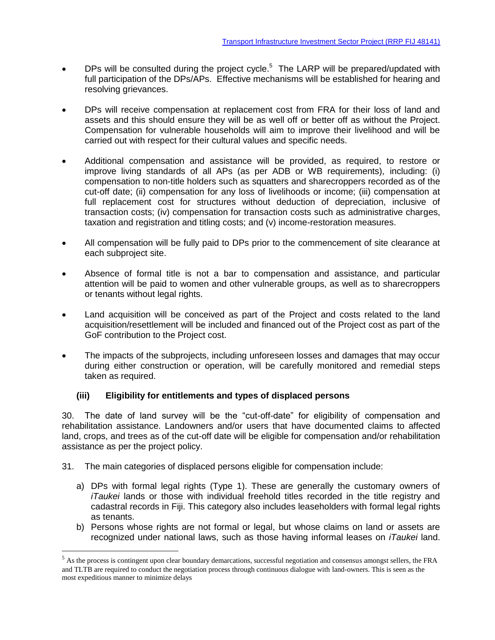- DPs will be consulted during the project cycle.<sup>5</sup> The LARP will be prepared/updated with full participation of the DPs/APs. Effective mechanisms will be established for hearing and resolving grievances.
- DPs will receive compensation at replacement cost from FRA for their loss of land and assets and this should ensure they will be as well off or better off as without the Project. Compensation for vulnerable households will aim to improve their livelihood and will be carried out with respect for their cultural values and specific needs.
- Additional compensation and assistance will be provided, as required, to restore or improve living standards of all APs (as per ADB or WB requirements)*,* including: (i) compensation to non-title holders such as squatters and sharecroppers recorded as of the cut-off date; (ii) compensation for any loss of livelihoods or income; (iii) compensation at full replacement cost for structures without deduction of depreciation, inclusive of transaction costs; (iv) compensation for transaction costs such as administrative charges, taxation and registration and titling costs; and (v) income-restoration measures.
- All compensation will be fully paid to DPs prior to the commencement of site clearance at each subproject site.
- Absence of formal title is not a bar to compensation and assistance, and particular attention will be paid to women and other vulnerable groups, as well as to sharecroppers or tenants without legal rights.
- Land acquisition will be conceived as part of the Project and costs related to the land acquisition/resettlement will be included and financed out of the Project cost as part of the GoF contribution to the Project cost.
- The impacts of the subprojects, including unforeseen losses and damages that may occur during either construction or operation, will be carefully monitored and remedial steps taken as required.

#### **(iii) Eligibility for entitlements and types of displaced persons**

30. The date of land survey will be the "cut-off-date" for eligibility of compensation and rehabilitation assistance. Landowners and/or users that have documented claims to affected land, crops, and trees as of the cut-off date will be eligible for compensation and/or rehabilitation assistance as per the project policy.

31. The main categories of displaced persons eligible for compensation include:

 $\overline{a}$ 

- a) DPs with formal legal rights (Type 1). These are generally the customary owners of *iTaukei* lands or those with individual freehold titles recorded in the title registry and cadastral records in Fiji. This category also includes leaseholders with formal legal rights as tenants.
- b) Persons whose rights are not formal or legal, but whose claims on land or assets are recognized under national laws, such as those having informal leases on *iTaukei* land.

<sup>&</sup>lt;sup>5</sup> As the process is contingent upon clear boundary demarcations, successful negotiation and consensus amongst sellers, the FRA and TLTB are required to conduct the negotiation process through continuous dialogue with land-owners. This is seen as the most expeditious manner to minimize delays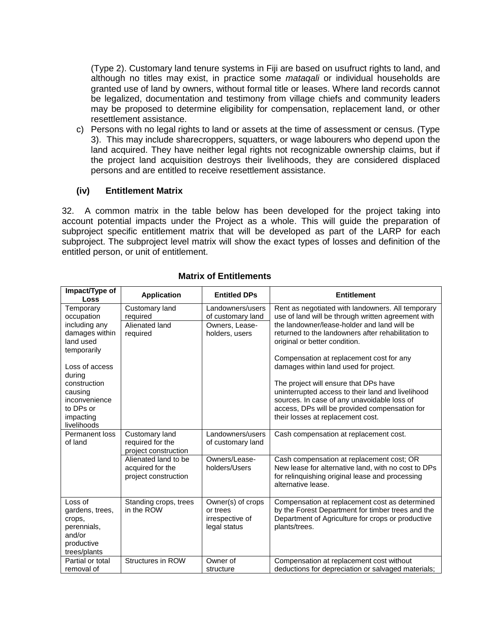(Type 2). Customary land tenure systems in Fiji are based on usufruct rights to land, and although no titles may exist, in practice some *mataqali* or individual households are granted use of land by owners, without formal title or leases. Where land records cannot be legalized, documentation and testimony from village chiefs and community leaders may be proposed to determine eligibility for compensation, replacement land, or other resettlement assistance.

c) Persons with no legal rights to land or assets at the time of assessment or census. (Type 3). This may include sharecroppers, squatters, or wage labourers who depend upon the land acquired. They have neither legal rights not recognizable ownership claims, but if the project land acquisition destroys their livelihoods, they are considered displaced persons and are entitled to receive resettlement assistance.

#### **(iv) Entitlement Matrix**

32. A common matrix in the table below has been developed for the project taking into account potential impacts under the Project as a whole. This will guide the preparation of subproject specific entitlement matrix that will be developed as part of the LARP for each subproject. The subproject level matrix will show the exact types of losses and definition of the entitled person, or unit of entitlement.

| Impact/Type of<br>Loss                                                                                                                                                                                  | <b>Application</b>                                               | <b>Entitled DPs</b>                                                       | <b>Entitlement</b>                                                                                                                                                                                                                                                                                                                                                                                                                                                                                                                                                    |
|---------------------------------------------------------------------------------------------------------------------------------------------------------------------------------------------------------|------------------------------------------------------------------|---------------------------------------------------------------------------|-----------------------------------------------------------------------------------------------------------------------------------------------------------------------------------------------------------------------------------------------------------------------------------------------------------------------------------------------------------------------------------------------------------------------------------------------------------------------------------------------------------------------------------------------------------------------|
| Temporary<br>occupation<br>including any<br>damages within<br>land used<br>temporarily<br>Loss of access<br>during<br>construction<br>causing<br>inconvenience<br>to DPs or<br>impacting<br>livelihoods | Customary land<br>required<br>Alienated land<br>required         | Landowners/users<br>of customary land<br>Owners, Lease-<br>holders, users | Rent as negotiated with landowners. All temporary<br>use of land will be through written agreement with<br>the landowner/lease-holder and land will be<br>returned to the landowners after rehabilitation to<br>original or better condition.<br>Compensation at replacement cost for any<br>damages within land used for project.<br>The project will ensure that DPs have<br>uninterrupted access to their land and livelihood<br>sources. In case of any unavoidable loss of<br>access, DPs will be provided compensation for<br>their losses at replacement cost. |
| Permanent loss<br>of land                                                                                                                                                                               | Customary land<br>required for the<br>project construction       | Landowners/users<br>of customary land                                     | Cash compensation at replacement cost.                                                                                                                                                                                                                                                                                                                                                                                                                                                                                                                                |
|                                                                                                                                                                                                         | Alienated land to be<br>acquired for the<br>project construction | Owners/Lease-<br>holders/Users                                            | Cash compensation at replacement cost; OR<br>New lease for alternative land, with no cost to DPs<br>for relinquishing original lease and processing<br>alternative lease.                                                                                                                                                                                                                                                                                                                                                                                             |
| Loss of<br>gardens, trees,<br>crops,<br>perennials,<br>and/or<br>productive<br>trees/plants                                                                                                             | Standing crops, trees<br>in the ROW                              | Owner(s) of crops<br>or trees<br>irrespective of<br>legal status          | Compensation at replacement cost as determined<br>by the Forest Department for timber trees and the<br>Department of Agriculture for crops or productive<br>plants/trees.                                                                                                                                                                                                                                                                                                                                                                                             |
| Partial or total<br>removal of                                                                                                                                                                          | Structures in ROW                                                | Owner of<br>structure                                                     | Compensation at replacement cost without<br>deductions for depreciation or salvaged materials;                                                                                                                                                                                                                                                                                                                                                                                                                                                                        |

#### **Matrix of Entitlements**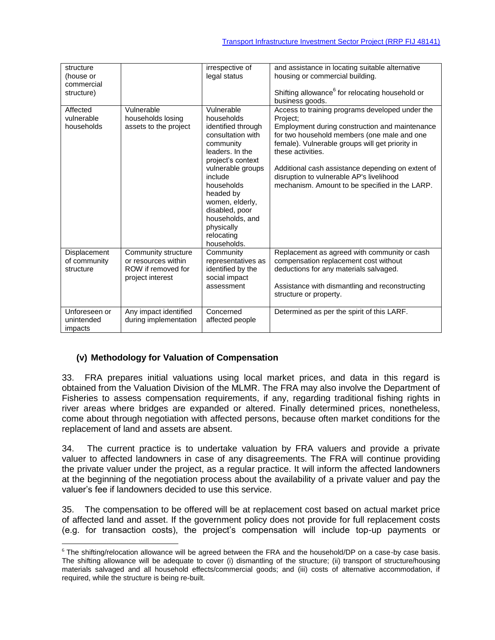| structure<br>(house or<br>commercial<br>structure) |                                                                                      | irrespective of<br>legal status                                                                                                                                                                                                                                         | and assistance in locating suitable alternative<br>housing or commercial building.<br>Shifting allowance <sup>6</sup> for relocating household or<br>business goods.                                                                                                                                                                                                                    |
|----------------------------------------------------|--------------------------------------------------------------------------------------|-------------------------------------------------------------------------------------------------------------------------------------------------------------------------------------------------------------------------------------------------------------------------|-----------------------------------------------------------------------------------------------------------------------------------------------------------------------------------------------------------------------------------------------------------------------------------------------------------------------------------------------------------------------------------------|
| Affected<br>vulnerable<br>households               | Vulnerable<br>households losing<br>assets to the project                             | Vulnerable<br>households<br>identified through<br>consultation with<br>community<br>leaders. In the<br>project's context<br>vulnerable groups<br>include<br>households<br>headed by<br>women, elderly,<br>disabled, poor<br>households, and<br>physically<br>relocating | Access to training programs developed under the<br>Project:<br>Employment during construction and maintenance<br>for two household members (one male and one<br>female). Vulnerable groups will get priority in<br>these activities.<br>Additional cash assistance depending on extent of<br>disruption to vulnerable AP's livelihood<br>mechanism. Amount to be specified in the LARP. |
|                                                    |                                                                                      | households.                                                                                                                                                                                                                                                             |                                                                                                                                                                                                                                                                                                                                                                                         |
| Displacement<br>of community<br>structure          | Community structure<br>or resources within<br>ROW if removed for<br>project interest | Community<br>representatives as<br>identified by the<br>social impact<br>assessment                                                                                                                                                                                     | Replacement as agreed with community or cash<br>compensation replacement cost without<br>deductions for any materials salvaged.<br>Assistance with dismantling and reconstructing<br>structure or property.                                                                                                                                                                             |
| Unforeseen or<br>unintended<br>impacts             | Any impact identified<br>during implementation                                       | Concerned<br>affected people                                                                                                                                                                                                                                            | Determined as per the spirit of this LARF.                                                                                                                                                                                                                                                                                                                                              |

### **(v) Methodology for Valuation of Compensation**

 $\overline{a}$ 

33. FRA prepares initial valuations using local market prices, and data in this regard is obtained from the Valuation Division of the MLMR. The FRA may also involve the Department of Fisheries to assess compensation requirements, if any, regarding traditional fishing rights in river areas where bridges are expanded or altered. Finally determined prices, nonetheless, come about through negotiation with affected persons, because often market conditions for the replacement of land and assets are absent.

34. The current practice is to undertake valuation by FRA valuers and provide a private valuer to affected landowners in case of any disagreements. The FRA will continue providing the private valuer under the project, as a regular practice. It will inform the affected landowners at the beginning of the negotiation process about the availability of a private valuer and pay the valuer's fee if landowners decided to use this service.

35. The compensation to be offered will be at replacement cost based on actual market price of affected land and asset. If the government policy does not provide for full replacement costs (e.g. for transaction costs), the project's compensation will include top-up payments or

<sup>&</sup>lt;sup>6</sup> The shifting/relocation allowance will be agreed between the FRA and the household/DP on a case-by case basis. The shifting allowance will be adequate to cover (i) dismantling of the structure; (ii) transport of structure/housing materials salvaged and all household effects/commercial goods; and (iii) costs of alternative accommodation, if required, while the structure is being re-built.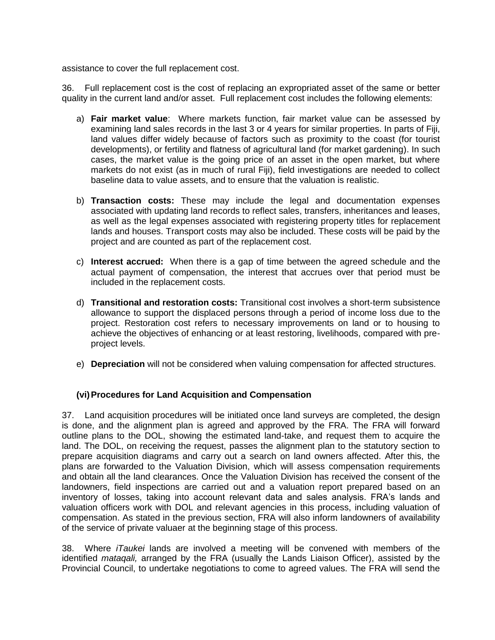assistance to cover the full replacement cost.

36. Full replacement cost is the cost of replacing an expropriated asset of the same or better quality in the current land and/or asset. Full replacement cost includes the following elements:

- a) **Fair market value**: Where markets function, fair market value can be assessed by examining land sales records in the last 3 or 4 years for similar properties. In parts of Fiji, land values differ widely because of factors such as proximity to the coast (for tourist developments), or fertility and flatness of agricultural land (for market gardening). In such cases, the market value is the going price of an asset in the open market, but where markets do not exist (as in much of rural Fiji), field investigations are needed to collect baseline data to value assets, and to ensure that the valuation is realistic.
- b) **Transaction costs:** These may include the legal and documentation expenses associated with updating land records to reflect sales, transfers, inheritances and leases, as well as the legal expenses associated with registering property titles for replacement lands and houses. Transport costs may also be included. These costs will be paid by the project and are counted as part of the replacement cost.
- c) **Interest accrued:** When there is a gap of time between the agreed schedule and the actual payment of compensation, the interest that accrues over that period must be included in the replacement costs.
- d) **Transitional and restoration costs:** Transitional cost involves a short-term subsistence allowance to support the displaced persons through a period of income loss due to the project. Restoration cost refers to necessary improvements on land or to housing to achieve the objectives of enhancing or at least restoring, livelihoods, compared with preproject levels.
- e) **Depreciation** will not be considered when valuing compensation for affected structures.

#### **(vi)Procedures for Land Acquisition and Compensation**

37. Land acquisition procedures will be initiated once land surveys are completed, the design is done, and the alignment plan is agreed and approved by the FRA. The FRA will forward outline plans to the DOL, showing the estimated land-take, and request them to acquire the land. The DOL, on receiving the request, passes the alignment plan to the statutory section to prepare acquisition diagrams and carry out a search on land owners affected. After this, the plans are forwarded to the Valuation Division, which will assess compensation requirements and obtain all the land clearances. Once the Valuation Division has received the consent of the landowners, field inspections are carried out and a valuation report prepared based on an inventory of losses, taking into account relevant data and sales analysis. FRA's lands and valuation officers work with DOL and relevant agencies in this process, including valuation of compensation. As stated in the previous section, FRA will also inform landowners of availability of the service of private valuaer at the beginning stage of this process.

38. Where *iTaukei* lands are involved a meeting will be convened with members of the identified *mataqali,* arranged by the FRA (usually the Lands Liaison Officer), assisted by the Provincial Council, to undertake negotiations to come to agreed values. The FRA will send the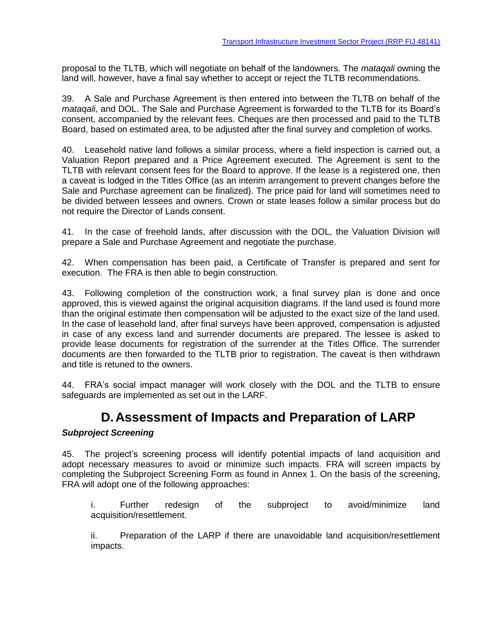proposal to the TLTB, which will negotiate on behalf of the landowners. The *mataqali* owning the land will, however, have a final say whether to accept or reject the TLTB recommendations.

39. A Sale and Purchase Agreement is then entered into between the TLTB on behalf of the *mataqali*, and DOL. The Sale and Purchase Agreement is forwarded to the TLTB for its Board's consent, accompanied by the relevant fees. Cheques are then processed and paid to the TLTB Board, based on estimated area, to be adjusted after the final survey and completion of works.

40. Leasehold native land follows a similar process, where a field inspection is carried out, a Valuation Report prepared and a Price Agreement executed. The Agreement is sent to the TLTB with relevant consent fees for the Board to approve. If the lease is a registered one, then a caveat is lodged in the Titles Office (as an interim arrangement to prevent changes before the Sale and Purchase agreement can be finalized). The price paid for land will sometimes need to be divided between lessees and owners. Crown or state leases follow a similar process but do not require the Director of Lands consent.

41. In the case of freehold lands, after discussion with the DOL, the Valuation Division will prepare a Sale and Purchase Agreement and negotiate the purchase.

42. When compensation has been paid, a Certificate of Transfer is prepared and sent for execution. The FRA is then able to begin construction.

43. Following completion of the construction work, a final survey plan is done and once approved, this is viewed against the original acquisition diagrams. If the land used is found more than the original estimate then compensation will be adjusted to the exact size of the land used. In the case of leasehold land, after final surveys have been approved, compensation is adjusted in case of any excess land and surrender documents are prepared. The lessee is asked to provide lease documents for registration of the surrender at the Titles Office. The surrender documents are then forwarded to the TLTB prior to registration. The caveat is then withdrawn and title is retuned to the owners.

<span id="page-19-0"></span>44. FRA's social impact manager will work closely with the DOL and the TLTB to ensure safeguards are implemented as set out in the LARF.

## **D.Assessment of Impacts and Preparation of LARP**

#### *Subproject Screening*

45. The project's screening process will identify potential impacts of land acquisition and adopt necessary measures to avoid or minimize such impacts. FRA will screen impacts by completing the Subproject Screening Form as found in Annex 1. On the basis of the screening, FRA will adopt one of the following approaches:

i. Further redesign of the subproject to avoid/minimize land acquisition/resettlement.

ii. Preparation of the LARP if there are unavoidable land acquisition/resettlement impacts.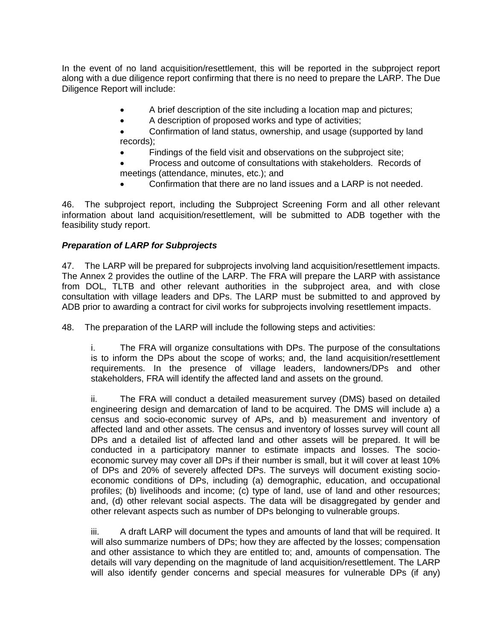In the event of no land acquisition/resettlement, this will be reported in the subproject report along with a due diligence report confirming that there is no need to prepare the LARP. The Due Diligence Report will include:

- A brief description of the site including a location map and pictures;
- A description of proposed works and type of activities;
- Confirmation of land status, ownership, and usage (supported by land records);
	- Findings of the field visit and observations on the subproject site;
- Process and outcome of consultations with stakeholders. Records of meetings (attendance, minutes, etc.); and
	- Confirmation that there are no land issues and a LARP is not needed.

46. The subproject report, including the Subproject Screening Form and all other relevant information about land acquisition/resettlement, will be submitted to ADB together with the feasibility study report.

#### *Preparation of LARP for Subprojects*

47. The LARP will be prepared for subprojects involving land acquisition/resettlement impacts. The Annex 2 provides the outline of the LARP. The FRA will prepare the LARP with assistance from DOL, TLTB and other relevant authorities in the subproject area, and with close consultation with village leaders and DPs. The LARP must be submitted to and approved by ADB prior to awarding a contract for civil works for subprojects involving resettlement impacts.

48. The preparation of the LARP will include the following steps and activities:

i. The FRA will organize consultations with DPs. The purpose of the consultations is to inform the DPs about the scope of works; and, the land acquisition/resettlement requirements. In the presence of village leaders, landowners/DPs and other stakeholders, FRA will identify the affected land and assets on the ground.

ii. The FRA will conduct a detailed measurement survey (DMS) based on detailed engineering design and demarcation of land to be acquired. The DMS will include a) a census and socio-economic survey of APs, and b) measurement and inventory of affected land and other assets. The census and inventory of losses survey will count all DPs and a detailed list of affected land and other assets will be prepared. It will be conducted in a participatory manner to estimate impacts and losses. The socioeconomic survey may cover all DPs if their number is small, but it will cover at least 10% of DPs and 20% of severely affected DPs. The surveys will document existing socioeconomic conditions of DPs, including (a) demographic, education, and occupational profiles; (b) livelihoods and income; (c) type of land, use of land and other resources; and, (d) other relevant social aspects. The data will be disaggregated by gender and other relevant aspects such as number of DPs belonging to vulnerable groups.

iii. A draft LARP will document the types and amounts of land that will be required. It will also summarize numbers of DPs; how they are affected by the losses; compensation and other assistance to which they are entitled to; and, amounts of compensation. The details will vary depending on the magnitude of land acquisition/resettlement. The LARP will also identify gender concerns and special measures for vulnerable DPs (if any)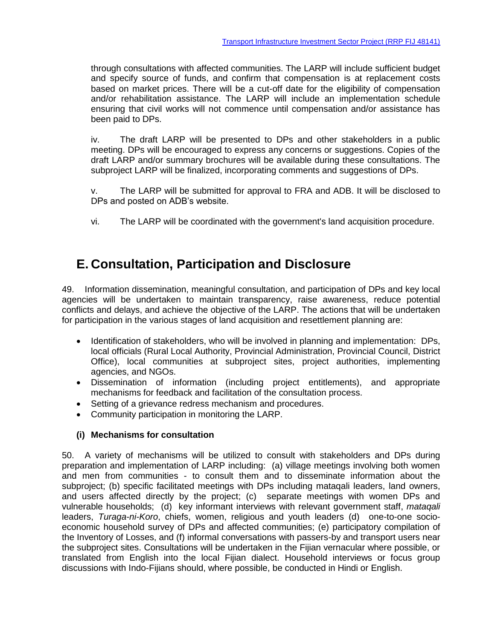through consultations with affected communities. The LARP will include sufficient budget and specify source of funds, and confirm that compensation is at replacement costs based on market prices. There will be a cut-off date for the eligibility of compensation and/or rehabilitation assistance. The LARP will include an implementation schedule ensuring that civil works will not commence until compensation and/or assistance has been paid to DPs.

iv. The draft LARP will be presented to DPs and other stakeholders in a public meeting. DPs will be encouraged to express any concerns or suggestions. Copies of the draft LARP and/or summary brochures will be available during these consultations. The subproject LARP will be finalized, incorporating comments and suggestions of DPs.

v. The LARP will be submitted for approval to FRA and ADB. It will be disclosed to DPs and posted on ADB's website.

vi. The LARP will be coordinated with the government's land acquisition procedure.

# <span id="page-21-0"></span>**E. Consultation, Participation and Disclosure**

49. Information dissemination, meaningful consultation, and participation of DPs and key local agencies will be undertaken to maintain transparency, raise awareness, reduce potential conflicts and delays, and achieve the objective of the LARP. The actions that will be undertaken for participation in the various stages of land acquisition and resettlement planning are:

- Identification of stakeholders, who will be involved in planning and implementation: DPs, local officials (Rural Local Authority, Provincial Administration, Provincial Council, District Office), local communities at subproject sites, project authorities, implementing agencies, and NGOs.
- Dissemination of information (including project entitlements), and appropriate mechanisms for feedback and facilitation of the consultation process.
- Setting of a grievance redress mechanism and procedures.
- Community participation in monitoring the LARP.

#### **(i) Mechanisms for consultation**

50. A variety of mechanisms will be utilized to consult with stakeholders and DPs during preparation and implementation of LARP including: (a) village meetings involving both women and men from communities - to consult them and to disseminate information about the subproject; (b) specific facilitated meetings with DPs including mataqali leaders, land owners, and users affected directly by the project; (c) separate meetings with women DPs and vulnerable households; (d) key informant interviews with relevant government staff, *mataqali* leaders, *Turaga-ni-Koro*, chiefs, women, religious and youth leaders (d) one-to-one socioeconomic household survey of DPs and affected communities; (e) participatory compilation of the Inventory of Losses, and (f) informal conversations with passers-by and transport users near the subproject sites. Consultations will be undertaken in the Fijian vernacular where possible, or translated from English into the local Fijian dialect. Household interviews or focus group discussions with Indo-Fijians should, where possible, be conducted in Hindi or English.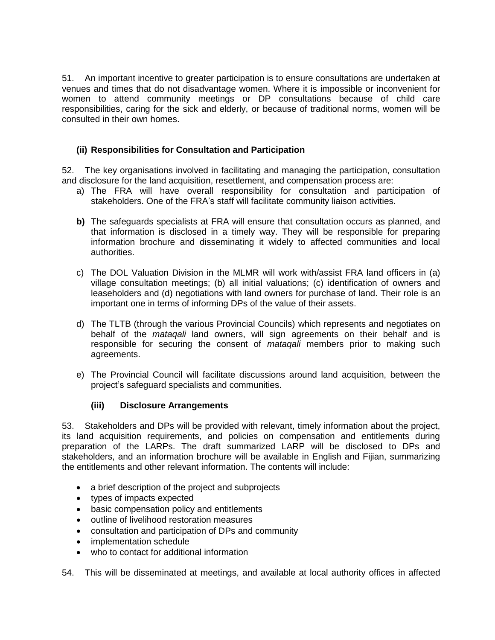51. An important incentive to greater participation is to ensure consultations are undertaken at venues and times that do not disadvantage women. Where it is impossible or inconvenient for women to attend community meetings or DP consultations because of child care responsibilities, caring for the sick and elderly, or because of traditional norms, women will be consulted in their own homes.

### **(ii) Responsibilities for Consultation and Participation**

52. The key organisations involved in facilitating and managing the participation, consultation and disclosure for the land acquisition, resettlement, and compensation process are:

- a) The FRA will have overall responsibility for consultation and participation of stakeholders. One of the FRA's staff will facilitate community liaison activities.
- **b)** The safeguards specialists at FRA will ensure that consultation occurs as planned, and that information is disclosed in a timely way. They will be responsible for preparing information brochure and disseminating it widely to affected communities and local authorities.
- c) The DOL Valuation Division in the MLMR will work with/assist FRA land officers in (a) village consultation meetings; (b) all initial valuations; (c) identification of owners and leaseholders and (d) negotiations with land owners for purchase of land. Their role is an important one in terms of informing DPs of the value of their assets.
- d) The TLTB (through the various Provincial Councils) which represents and negotiates on behalf of the *mataqali* land owners, will sign agreements on their behalf and is responsible for securing the consent of *mataqali* members prior to making such agreements.
- e) The Provincial Council will facilitate discussions around land acquisition, between the project's safeguard specialists and communities.

#### **(iii) Disclosure Arrangements**

53. Stakeholders and DPs will be provided with relevant, timely information about the project, its land acquisition requirements, and policies on compensation and entitlements during preparation of the LARPs. The draft summarized LARP will be disclosed to DPs and stakeholders, and an information brochure will be available in English and Fijian, summarizing the entitlements and other relevant information. The contents will include:

- a brief description of the project and subprojects
- types of impacts expected
- basic compensation policy and entitlements
- outline of livelihood restoration measures
- consultation and participation of DPs and community
- implementation schedule
- who to contact for additional information

54. This will be disseminated at meetings, and available at local authority offices in affected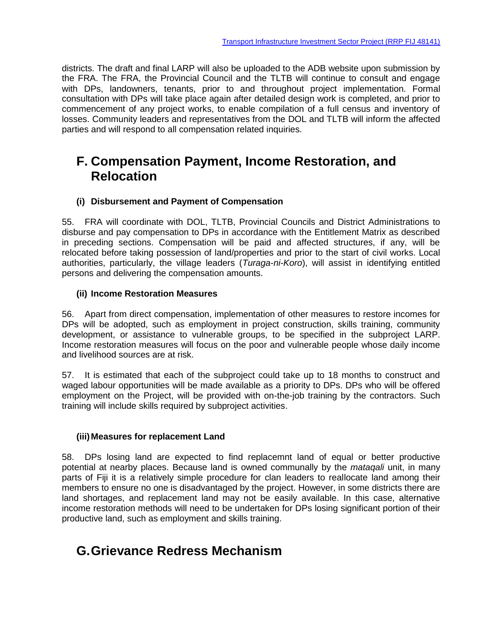districts. The draft and final LARP will also be uploaded to the ADB website upon submission by the FRA. The FRA, the Provincial Council and the TLTB will continue to consult and engage with DPs, landowners, tenants, prior to and throughout project implementation. Formal consultation with DPs will take place again after detailed design work is completed, and prior to commencement of any project works, to enable compilation of a full census and inventory of losses. Community leaders and representatives from the DOL and TLTB will inform the affected parties and will respond to all compensation related inquiries.

# <span id="page-23-0"></span>**F. Compensation Payment, Income Restoration, and Relocation**

#### **(i) Disbursement and Payment of Compensation**

55. FRA will coordinate with DOL, TLTB, Provincial Councils and District Administrations to disburse and pay compensation to DPs in accordance with the Entitlement Matrix as described in preceding sections. Compensation will be paid and affected structures, if any, will be relocated before taking possession of land/properties and prior to the start of civil works. Local authorities, particularly, the village leaders (*Turaga-ni-Koro*), will assist in identifying entitled persons and delivering the compensation amounts.

#### **(ii) Income Restoration Measures**

56. Apart from direct compensation, implementation of other measures to restore incomes for DPs will be adopted, such as employment in project construction, skills training, community development, or assistance to vulnerable groups, to be specified in the subproject LARP. Income restoration measures will focus on the poor and vulnerable people whose daily income and livelihood sources are at risk.

57. It is estimated that each of the subproject could take up to 18 months to construct and waged labour opportunities will be made available as a priority to DPs. DPs who will be offered employment on the Project, will be provided with on-the-job training by the contractors. Such training will include skills required by subproject activities.

#### **(iii)Measures for replacement Land**

58. DPs losing land are expected to find replacemnt land of equal or better productive potential at nearby places. Because land is owned communally by the *mataqali* unit, in many parts of Fiji it is a relatively simple procedure for clan leaders to reallocate land among their members to ensure no one is disadvantaged by the project. However, in some districts there are land shortages, and replacement land may not be easily available. In this case, alternative income restoration methods will need to be undertaken for DPs losing significant portion of their productive land, such as employment and skills training.

# <span id="page-23-1"></span>**G.Grievance Redress Mechanism**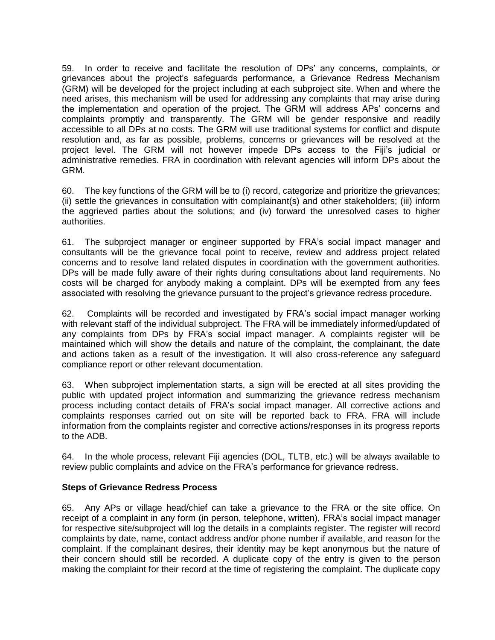59. In order to receive and facilitate the resolution of DPs' any concerns, complaints, or grievances about the project's safeguards performance, a Grievance Redress Mechanism (GRM) will be developed for the project including at each subproject site. When and where the need arises, this mechanism will be used for addressing any complaints that may arise during the implementation and operation of the project. The GRM will address APs' concerns and complaints promptly and transparently. The GRM will be gender responsive and readily accessible to all DPs at no costs. The GRM will use traditional systems for conflict and dispute resolution and, as far as possible, problems, concerns or grievances will be resolved at the project level. The GRM will not however impede DPs access to the Fiji's judicial or administrative remedies. FRA in coordination with relevant agencies will inform DPs about the GRM.

60. The key functions of the GRM will be to (i) record, categorize and prioritize the grievances; (ii) settle the grievances in consultation with complainant(s) and other stakeholders; (iii) inform the aggrieved parties about the solutions; and (iv) forward the unresolved cases to higher authorities.

61. The subproject manager or engineer supported by FRA's social impact manager and consultants will be the grievance focal point to receive, review and address project related concerns and to resolve land related disputes in coordination with the government authorities. DPs will be made fully aware of their rights during consultations about land requirements. No costs will be charged for anybody making a complaint. DPs will be exempted from any fees associated with resolving the grievance pursuant to the project's grievance redress procedure.

62. Complaints will be recorded and investigated by FRA's social impact manager working with relevant staff of the individual subproject. The FRA will be immediately informed/updated of any complaints from DPs by FRA's social impact manager. A complaints register will be maintained which will show the details and nature of the complaint, the complainant, the date and actions taken as a result of the investigation. It will also cross-reference any safeguard compliance report or other relevant documentation.

63. When subproject implementation starts, a sign will be erected at all sites providing the public with updated project information and summarizing the grievance redress mechanism process including contact details of FRA's social impact manager. All corrective actions and complaints responses carried out on site will be reported back to FRA. FRA will include information from the complaints register and corrective actions/responses in its progress reports to the ADB.

64. In the whole process, relevant Fiji agencies (DOL, TLTB, etc.) will be always available to review public complaints and advice on the FRA's performance for grievance redress.

#### **Steps of Grievance Redress Process**

65. Any APs or village head/chief can take a grievance to the FRA or the site office. On receipt of a complaint in any form (in person, telephone, written), FRA's social impact manager for respective site/subproject will log the details in a complaints register. The register will record complaints by date, name, contact address and/or phone number if available, and reason for the complaint. If the complainant desires, their identity may be kept anonymous but the nature of their concern should still be recorded. A duplicate copy of the entry is given to the person making the complaint for their record at the time of registering the complaint. The duplicate copy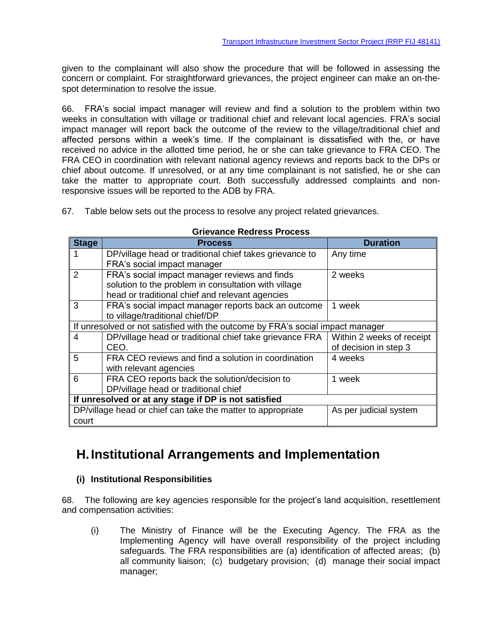given to the complainant will also show the procedure that will be followed in assessing the concern or complaint. For straightforward grievances, the project engineer can make an on-thespot determination to resolve the issue.

66. FRA's social impact manager will review and find a solution to the problem within two weeks in consultation with village or traditional chief and relevant local agencies. FRA's social impact manager will report back the outcome of the review to the village/traditional chief and affected persons within a week's time. If the complainant is dissatisfied with the, or have received no advice in the allotted time period, he or she can take grievance to FRA CEO. The FRA CEO in coordination with relevant national agency reviews and reports back to the DPs or chief about outcome. If unresolved, or at any time complainant is not satisfied, he or she can take the matter to appropriate court. Both successfully addressed complaints and nonresponsive issues will be reported to the ADB by FRA.

67. Table below sets out the process to resolve any project related grievances.

| <b>Stage</b>                                         | <b>Process</b>                                                                 | <b>Duration</b>           |  |
|------------------------------------------------------|--------------------------------------------------------------------------------|---------------------------|--|
|                                                      | DP/village head or traditional chief takes grievance to                        | Any time                  |  |
|                                                      | FRA's social impact manager                                                    |                           |  |
| $\overline{2}$                                       | FRA's social impact manager reviews and finds                                  | 2 weeks                   |  |
|                                                      | solution to the problem in consultation with village                           |                           |  |
|                                                      | head or traditional chief and relevant agencies                                |                           |  |
| 3                                                    | FRA's social impact manager reports back an outcome                            | 1 week                    |  |
|                                                      | to village/traditional chief/DP                                                |                           |  |
|                                                      | If unresolved or not satisfied with the outcome by FRA's social impact manager |                           |  |
| 4                                                    | DP/village head or traditional chief take grievance FRA                        | Within 2 weeks of receipt |  |
|                                                      | CEO.                                                                           | of decision in step 3     |  |
| 5                                                    | FRA CEO reviews and find a solution in coordination                            | 4 weeks                   |  |
|                                                      | with relevant agencies                                                         |                           |  |
| 6                                                    | FRA CEO reports back the solution/decision to                                  | 1 week                    |  |
|                                                      | DP/village head or traditional chief                                           |                           |  |
| If unresolved or at any stage if DP is not satisfied |                                                                                |                           |  |
|                                                      | DP/village head or chief can take the matter to appropriate                    | As per judicial system    |  |
| court                                                |                                                                                |                           |  |

#### **Grievance Redress Process**

# <span id="page-25-0"></span>**H.Institutional Arrangements and Implementation**

#### **(i) Institutional Responsibilities**

68. The following are key agencies responsible for the project's land acquisition, resettlement and compensation activities:

(i) The Ministry of Finance will be the Executing Agency. The FRA as the Implementing Agency will have overall responsibility of the project including safeguards. The FRA responsibilities are (a) identification of affected areas; (b) all community liaison; (c) budgetary provision; (d) manage their social impact manager;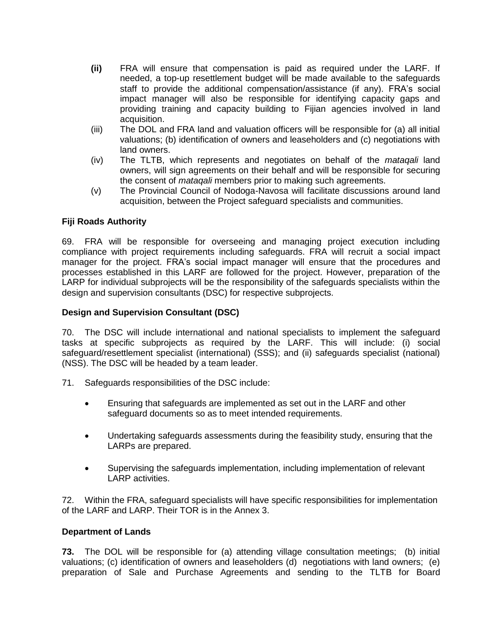- **(ii)** FRA will ensure that compensation is paid as required under the LARF. If needed, a top-up resettlement budget will be made available to the safeguards staff to provide the additional compensation/assistance (if any). FRA's social impact manager will also be responsible for identifying capacity gaps and providing training and capacity building to Fijian agencies involved in land acquisition.
- (iii) The DOL and FRA land and valuation officers will be responsible for (a) all initial valuations; (b) identification of owners and leaseholders and (c) negotiations with land owners.
- (iv) The TLTB, which represents and negotiates on behalf of the *mataqali* land owners, will sign agreements on their behalf and will be responsible for securing the consent of *mataqali* members prior to making such agreements.
- (v) The Provincial Council of Nodoga-Navosa will facilitate discussions around land acquisition, between the Project safeguard specialists and communities.

#### **Fiji Roads Authority**

69. FRA will be responsible for overseeing and managing project execution including compliance with project requirements including safeguards. FRA will recruit a social impact manager for the project. FRA's social impact manager will ensure that the procedures and processes established in this LARF are followed for the project. However, preparation of the LARP for individual subprojects will be the responsibility of the safeguards specialists within the design and supervision consultants (DSC) for respective subprojects.

#### **Design and Supervision Consultant (DSC)**

70. The DSC will include international and national specialists to implement the safeguard tasks at specific subprojects as required by the LARF. This will include: (i) social safeguard/resettlement specialist (international) (SSS); and (ii) safeguards specialist (national) (NSS). The DSC will be headed by a team leader.

- 71. Safeguards responsibilities of the DSC include:
	- Ensuring that safeguards are implemented as set out in the LARF and other safeguard documents so as to meet intended requirements.
	- Undertaking safeguards assessments during the feasibility study, ensuring that the LARPs are prepared.
	- Supervising the safeguards implementation, including implementation of relevant LARP activities.

72. Within the FRA, safeguard specialists will have specific responsibilities for implementation of the LARF and LARP. Their TOR is in the Annex 3.

#### **Department of Lands**

**73.** The DOL will be responsible for (a) attending village consultation meetings; (b) initial valuations; (c) identification of owners and leaseholders (d) negotiations with land owners; (e) preparation of Sale and Purchase Agreements and sending to the TLTB for Board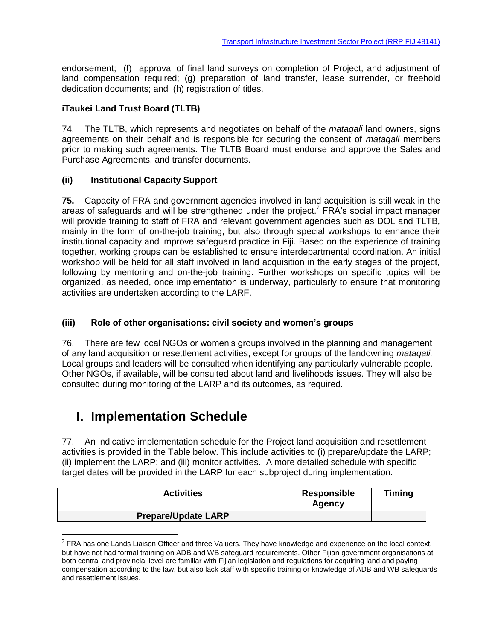endorsement; (f) approval of final land surveys on completion of Project, and adjustment of land compensation required; (g) preparation of land transfer, lease surrender, or freehold dedication documents; and (h) registration of titles.

### **iTaukei Land Trust Board (TLTB)**

74. The TLTB, which represents and negotiates on behalf of the *mataqali* land owners, signs agreements on their behalf and is responsible for securing the consent of *mataqali* members prior to making such agreements. The TLTB Board must endorse and approve the Sales and Purchase Agreements, and transfer documents.

#### **(ii) Institutional Capacity Support**

**75.** Capacity of FRA and government agencies involved in land acquisition is still weak in the areas of safeguards and will be strengthened under the project.<sup>7</sup> FRA's social impact manager will provide training to staff of FRA and relevant government agencies such as DOL and TLTB, mainly in the form of on-the-job training, but also through special workshops to enhance their institutional capacity and improve safeguard practice in Fiji. Based on the experience of training together, working groups can be established to ensure interdepartmental coordination. An initial workshop will be held for all staff involved in land acquisition in the early stages of the project, following by mentoring and on-the-job training. Further workshops on specific topics will be organized, as needed, once implementation is underway, particularly to ensure that monitoring activities are undertaken according to the LARF.

#### **(iii) Role of other organisations: civil society and women's groups**

76. There are few local NGOs or women's groups involved in the planning and management of any land acquisition or resettlement activities, except for groups of the landowning *mataqali.*  Local groups and leaders will be consulted when identifying any particularly vulnerable people. Other NGOs, if available, will be consulted about land and livelihoods issues. They will also be consulted during monitoring of the LARP and its outcomes, as required.

## <span id="page-27-0"></span>**I. Implementation Schedule**

 $\overline{a}$ 

77. An indicative implementation schedule for the Project land acquisition and resettlement activities is provided in the Table below. This include activities to (i) prepare/update the LARP; (ii) implement the LARP: and (iii) monitor activities. A more detailed schedule with specific target dates will be provided in the LARP for each subproject during implementation.

| <b>Activities</b>          | Responsible<br>Agency | <b>Timing</b> |
|----------------------------|-----------------------|---------------|
| <b>Prepare/Update LARP</b> |                       |               |

 $^7$  FRA has one Lands Liaison Officer and three Valuers. They have knowledge and experience on the local context, but have not had formal training on ADB and WB safeguard requirements. Other Fijian government organisations at both central and provincial level are familiar with Fijian legislation and regulations for acquiring land and paying compensation according to the law, but also lack staff with specific training or knowledge of ADB and WB safeguards and resettlement issues.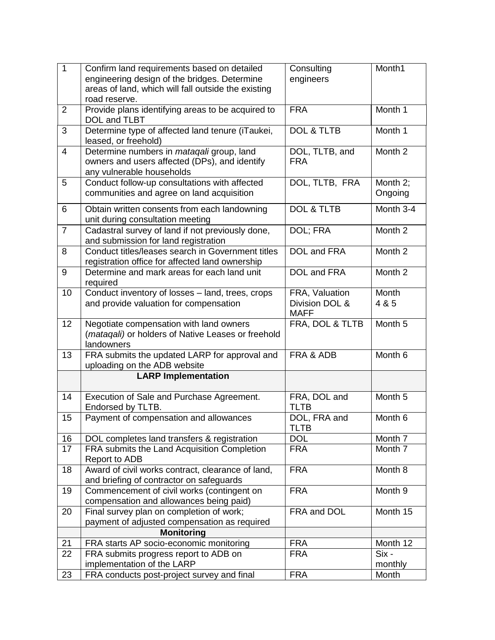| $\mathbf{1}$   | Confirm land requirements based on detailed                                                                                    | Consulting                                      | Month1              |
|----------------|--------------------------------------------------------------------------------------------------------------------------------|-------------------------------------------------|---------------------|
|                | engineering design of the bridges. Determine                                                                                   | engineers                                       |                     |
|                | areas of land, which will fall outside the existing                                                                            |                                                 |                     |
|                | road reserve.                                                                                                                  |                                                 |                     |
| $\overline{2}$ | Provide plans identifying areas to be acquired to<br>DOL and TLBT                                                              | <b>FRA</b>                                      | Month 1             |
| 3              | Determine type of affected land tenure (iTaukei,<br>leased, or freehold)                                                       | <b>DOL &amp; TLTB</b>                           | Month 1             |
| $\overline{4}$ | Determine numbers in <i>matagali</i> group, land<br>owners and users affected (DPs), and identify<br>any vulnerable households | DOL, TLTB, and<br><b>FRA</b>                    | Month 2             |
| 5              | Conduct follow-up consultations with affected<br>communities and agree on land acquisition                                     | DOL, TLTB, FRA                                  | Month 2;<br>Ongoing |
| 6              | Obtain written consents from each landowning<br>unit during consultation meeting                                               | <b>DOL &amp; TLTB</b>                           | Month 3-4           |
| $\overline{7}$ | Cadastral survey of land if not previously done,<br>and submission for land registration                                       | DOL; FRA                                        | Month 2             |
| 8              | Conduct titles/leases search in Government titles<br>registration office for affected land ownership                           | DOL and FRA                                     | Month 2             |
| 9              | Determine and mark areas for each land unit<br>required                                                                        | DOL and FRA                                     | Month 2             |
| 10             | Conduct inventory of losses - land, trees, crops<br>and provide valuation for compensation                                     | FRA, Valuation<br>Division DOL &<br><b>MAFF</b> | Month<br>4 & 5      |
| 12             | Negotiate compensation with land owners<br>(mataqali) or holders of Native Leases or freehold<br>landowners                    | FRA, DOL & TLTB                                 | Month 5             |
| 13             | FRA submits the updated LARP for approval and<br>uploading on the ADB website                                                  | FRA & ADB                                       | Month 6             |
|                | <b>LARP Implementation</b>                                                                                                     |                                                 |                     |
| 14             | Execution of Sale and Purchase Agreement.<br>Endorsed by TLTB.                                                                 | FRA, DOL and<br><b>TLTB</b>                     | Month 5             |
| 15             | Payment of compensation and allowances                                                                                         | DOL, FRA and<br><b>TLTB</b>                     | Month 6             |
| 16             | DOL completes land transfers & registration                                                                                    | <b>DOL</b>                                      | Month 7             |
| 17             | FRA submits the Land Acquisition Completion<br>Report to ADB                                                                   | <b>FRA</b>                                      | Month 7             |
| 18             | Award of civil works contract, clearance of land,<br>and briefing of contractor on safeguards                                  | <b>FRA</b>                                      | Month 8             |
| 19             | Commencement of civil works (contingent on<br>compensation and allowances being paid)                                          | <b>FRA</b>                                      | Month 9             |
| 20             | Final survey plan on completion of work;<br>payment of adjusted compensation as required                                       | FRA and DOL                                     | Month 15            |
|                | <b>Monitoring</b>                                                                                                              |                                                 |                     |
| 21             | FRA starts AP socio-economic monitoring                                                                                        | <b>FRA</b>                                      | Month 12            |
| 22             | FRA submits progress report to ADB on                                                                                          | <b>FRA</b>                                      | Six -               |
|                | implementation of the LARP                                                                                                     |                                                 | monthly             |
| 23             | FRA conducts post-project survey and final                                                                                     | <b>FRA</b>                                      | Month               |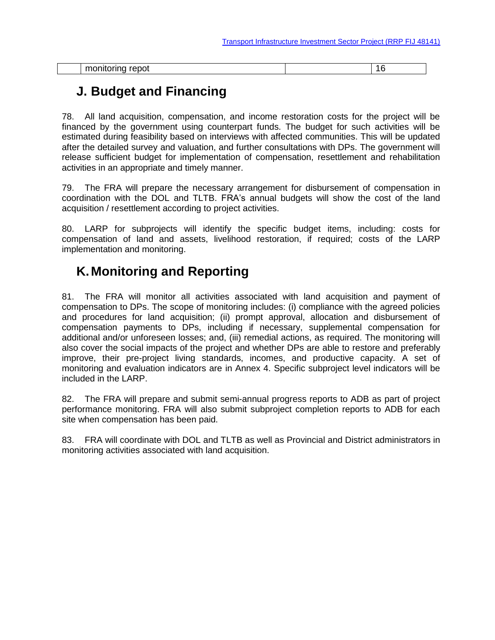<span id="page-29-0"></span>

| $max = 1$<br>$-$<br>--<br>------<br>าเ<br>. טי<br>- - | . . |
|-------------------------------------------------------|-----|

# **J. Budget and Financing**

78. All land acquisition, compensation, and income restoration costs for the project will be financed by the government using counterpart funds. The budget for such activities will be estimated during feasibility based on interviews with affected communities. This will be updated after the detailed survey and valuation, and further consultations with DPs. The government will release sufficient budget for implementation of compensation, resettlement and rehabilitation activities in an appropriate and timely manner.

79. The FRA will prepare the necessary arrangement for disbursement of compensation in coordination with the DOL and TLTB. FRA's annual budgets will show the cost of the land acquisition / resettlement according to project activities.

80. LARP for subprojects will identify the specific budget items, including: costs for compensation of land and assets, livelihood restoration, if required; costs of the LARP implementation and monitoring.

# <span id="page-29-1"></span>**K.Monitoring and Reporting**

81. The FRA will monitor all activities associated with land acquisition and payment of compensation to DPs. The scope of monitoring includes: (i) compliance with the agreed policies and procedures for land acquisition; (ii) prompt approval, allocation and disbursement of compensation payments to DPs, including if necessary, supplemental compensation for additional and/or unforeseen losses; and, (iii) remedial actions, as required. The monitoring will also cover the social impacts of the project and whether DPs are able to restore and preferably improve, their pre-project living standards, incomes, and productive capacity. A set of monitoring and evaluation indicators are in Annex 4. Specific subproject level indicators will be included in the LARP.

82. The FRA will prepare and submit semi-annual progress reports to ADB as part of project performance monitoring. FRA will also submit subproject completion reports to ADB for each site when compensation has been paid.

83. FRA will coordinate with DOL and TLTB as well as Provincial and District administrators in monitoring activities associated with land acquisition.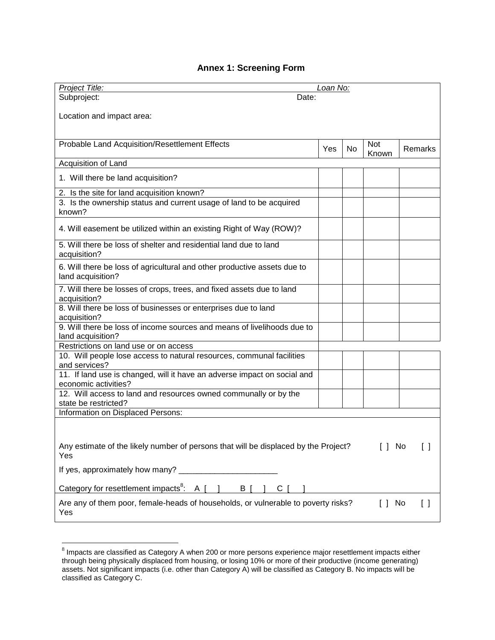### **Annex 1: Screening Form**

| Project Title:                                                                                           | Loan No: |           |                       |                        |
|----------------------------------------------------------------------------------------------------------|----------|-----------|-----------------------|------------------------|
| Subproject:<br>Date:                                                                                     |          |           |                       |                        |
|                                                                                                          |          |           |                       |                        |
| Location and impact area:                                                                                |          |           |                       |                        |
|                                                                                                          |          |           |                       |                        |
| Probable Land Acquisition/Resettlement Effects                                                           |          |           | Not                   |                        |
|                                                                                                          | Yes      | <b>No</b> | Known                 | Remarks                |
| Acquisition of Land                                                                                      |          |           |                       |                        |
| 1. Will there be land acquisition?                                                                       |          |           |                       |                        |
| 2. Is the site for land acquisition known?                                                               |          |           |                       |                        |
| 3. Is the ownership status and current usage of land to be acquired<br>known?                            |          |           |                       |                        |
|                                                                                                          |          |           |                       |                        |
| 4. Will easement be utilized within an existing Right of Way (ROW)?                                      |          |           |                       |                        |
| 5. Will there be loss of shelter and residential land due to land<br>acquisition?                        |          |           |                       |                        |
| 6. Will there be loss of agricultural and other productive assets due to<br>land acquisition?            |          |           |                       |                        |
| 7. Will there be losses of crops, trees, and fixed assets due to land<br>acquisition?                    |          |           |                       |                        |
| 8. Will there be loss of businesses or enterprises due to land<br>acquisition?                           |          |           |                       |                        |
| 9. Will there be loss of income sources and means of livelihoods due to<br>land acquisition?             |          |           |                       |                        |
| Restrictions on land use or on access                                                                    |          |           |                       |                        |
| 10. Will people lose access to natural resources, communal facilities<br>and services?                   |          |           |                       |                        |
| 11. If land use is changed, will it have an adverse impact on social and<br>economic activities?         |          |           |                       |                        |
| 12. Will access to land and resources owned communally or by the<br>state be restricted?                 |          |           |                       |                        |
| Information on Displaced Persons:                                                                        |          |           |                       |                        |
|                                                                                                          |          |           |                       |                        |
| Any estimate of the likely number of persons that will be displaced by the Project?<br>$[$ $]$ No<br>Yes |          |           |                       |                        |
|                                                                                                          |          |           |                       |                        |
| Category for resettlement impacts <sup>8</sup> : A $\lceil$<br>B [<br>$C \mid$                           |          |           |                       |                        |
| Are any of them poor, female-heads of households, or vulnerable to poverty risks?<br>Yes                 |          |           | $\lceil \, \rceil$ No | $\left[ \quad \right]$ |

 8 Impacts are classified as Category A when 200 or more persons experience major resettlement impacts either through being physically displaced from housing, or losing 10% or more of their productive (income generating) assets. Not significant impacts (i.e. other than Category A) will be classified as Category B. No impacts will be classified as Category C.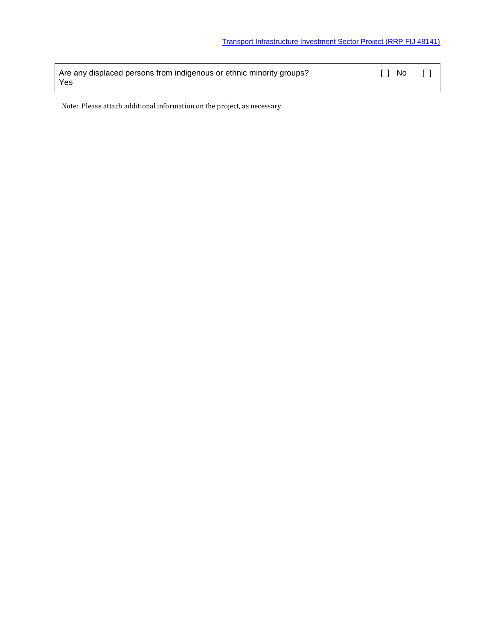| Are any displaced persons from indigenous or ethnic minority groups? | II No | $\Box$ |
|----------------------------------------------------------------------|-------|--------|
| Yes                                                                  |       |        |

Note: Please attach additional information on the project, as necessary.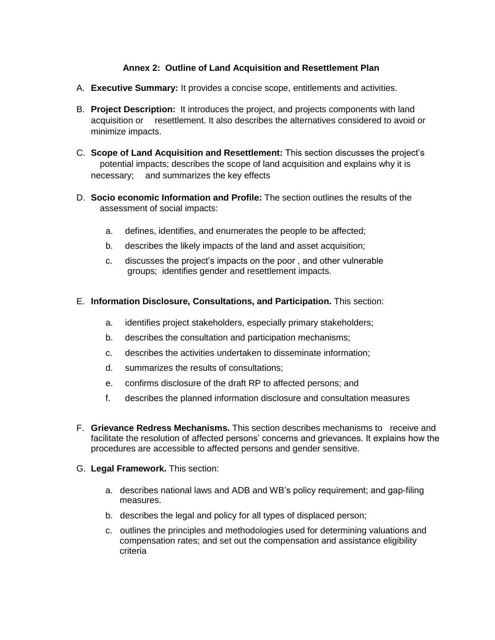#### **Annex 2: Outline of Land Acquisition and Resettlement Plan**

- A. **Executive Summary:** It provides a concise scope, entitlements and activities.
- B. **Project Description:** It introduces the project, and projects components with land acquisition or resettlement. It also describes the alternatives considered to avoid or minimize impacts.
- C. **Scope of Land Acquisition and Resettlement:** This section discusses the project's potential impacts; describes the scope of land acquisition and explains why it is necessary; and summarizes the key effects
- D. **Socio economic Information and Profile:** The section outlines the results of the assessment of social impacts:
	- a. defines, identifies, and enumerates the people to be affected;
	- b. describes the likely impacts of the land and asset acquisition;
	- c. discusses the project's impacts on the poor , and other vulnerable groups; identifies gender and resettlement impacts.

#### E. **Information Disclosure, Consultations, and Participation.** This section:

- a. identifies project stakeholders, especially primary stakeholders;
- b. describes the consultation and participation mechanisms;
- c. describes the activities undertaken to disseminate information;
- d. summarizes the results of consultations;
- e. confirms disclosure of the draft RP to affected persons; and
- f. describes the planned information disclosure and consultation measures
- F. **Grievance Redress Mechanisms.** This section describes mechanisms to receive and facilitate the resolution of affected persons' concerns and grievances. It explains how the procedures are accessible to affected persons and gender sensitive.
- G. **Legal Framework.** This section:
	- a. describes national laws and ADB and WB's policy requirement; and gap-filing measures.
	- b. describes the legal and policy for all types of displaced person;
	- c. outlines the principles and methodologies used for determining valuations and compensation rates; and set out the compensation and assistance eligibility criteria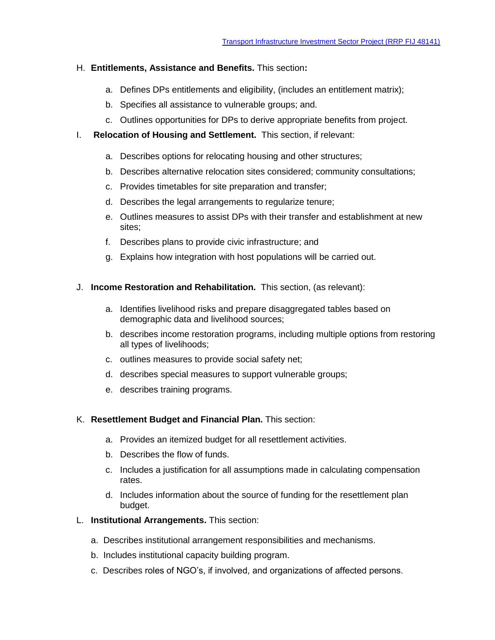#### H. **Entitlements, Assistance and Benefits.** This section**:**

- a. Defines DPs entitlements and eligibility, (includes an entitlement matrix);
- b. Specifies all assistance to vulnerable groups; and.
- c. Outlines opportunities for DPs to derive appropriate benefits from project.
- I. **Relocation of Housing and Settlement.** This section, if relevant:
	- a. Describes options for relocating housing and other structures;
	- b. Describes alternative relocation sites considered; community consultations;
	- c. Provides timetables for site preparation and transfer;
	- d. Describes the legal arrangements to regularize tenure;
	- e. Outlines measures to assist DPs with their transfer and establishment at new sites;
	- f. Describes plans to provide civic infrastructure; and
	- g. Explains how integration with host populations will be carried out.
- J. **Income Restoration and Rehabilitation.** This section, (as relevant):
	- a. Identifies livelihood risks and prepare disaggregated tables based on demographic data and livelihood sources;
	- b. describes income restoration programs, including multiple options from restoring all types of livelihoods;
	- c. outlines measures to provide social safety net;
	- d. describes special measures to support vulnerable groups;
	- e. describes training programs.

#### K. **Resettlement Budget and Financial Plan.** This section:

- a. Provides an itemized budget for all resettlement activities.
- b. Describes the flow of funds.
- c. Includes a justification for all assumptions made in calculating compensation rates.
- d. Includes information about the source of funding for the resettlement plan budget.
- L. **Institutional Arrangements.** This section:
	- a. Describes institutional arrangement responsibilities and mechanisms.
	- b. Includes institutional capacity building program.
	- c. Describes roles of NGO's, if involved, and organizations of affected persons.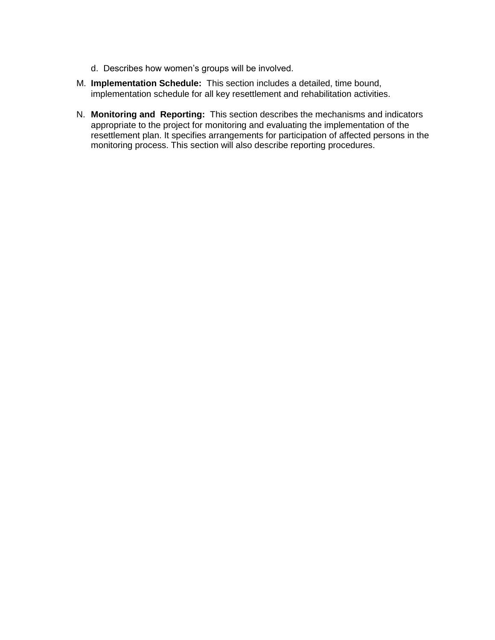- d. Describes how women's groups will be involved.
- M. **Implementation Schedule:** This section includes a detailed, time bound, implementation schedule for all key resettlement and rehabilitation activities.
- N. **Monitoring and Reporting:** This section describes the mechanisms and indicators appropriate to the project for monitoring and evaluating the implementation of the resettlement plan. It specifies arrangements for participation of affected persons in the monitoring process. This section will also describe reporting procedures.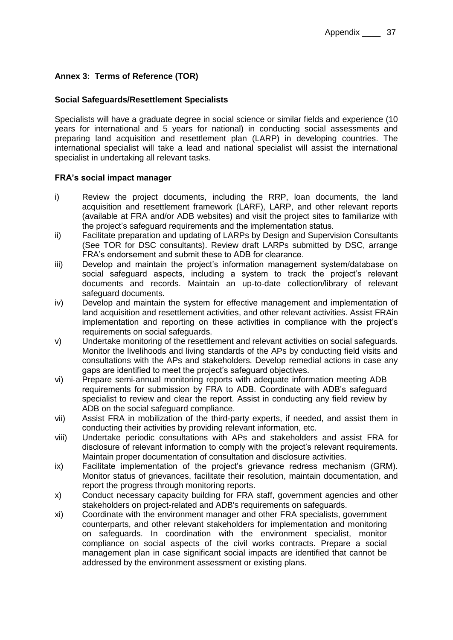### **Annex 3: Terms of Reference (TOR)**

#### **Social Safeguards/Resettlement Specialists**

Specialists will have a graduate degree in social science or similar fields and experience (10 years for international and 5 years for national) in conducting social assessments and preparing land acquisition and resettlement plan (LARP) in developing countries. The international specialist will take a lead and national specialist will assist the international specialist in undertaking all relevant tasks.

#### **FRA's social impact manager**

- i) Review the project documents, including the RRP, loan documents, the land acquisition and resettlement framework (LARF), LARP, and other relevant reports (available at FRA and/or ADB websites) and visit the project sites to familiarize with the project's safeguard requirements and the implementation status.
- ii) Facilitate preparation and updating of LARPs by Design and Supervision Consultants (See TOR for DSC consultants). Review draft LARPs submitted by DSC, arrange FRA's endorsement and submit these to ADB for clearance.
- iii) Develop and maintain the project's information management system/database on social safeguard aspects, including a system to track the project's relevant documents and records. Maintain an up-to-date collection/library of relevant safeguard documents.
- iv) Develop and maintain the system for effective management and implementation of land acquisition and resettlement activities, and other relevant activities. Assist FRAin implementation and reporting on these activities in compliance with the project's requirements on social safeguards.
- v) Undertake monitoring of the resettlement and relevant activities on social safeguards. Monitor the livelihoods and living standards of the APs by conducting field visits and consultations with the APs and stakeholders. Develop remedial actions in case any gaps are identified to meet the project's safeguard objectives.
- vi) Prepare semi-annual monitoring reports with adequate information meeting ADB requirements for submission by FRA to ADB. Coordinate with ADB's safeguard specialist to review and clear the report. Assist in conducting any field review by ADB on the social safeguard compliance.
- vii) Assist FRA in mobilization of the third-party experts, if needed, and assist them in conducting their activities by providing relevant information, etc.
- viii) Undertake periodic consultations with APs and stakeholders and assist FRA for disclosure of relevant information to comply with the project's relevant requirements. Maintain proper documentation of consultation and disclosure activities.
- ix) Facilitate implementation of the project's grievance redress mechanism (GRM). Monitor status of grievances, facilitate their resolution, maintain documentation, and report the progress through monitoring reports.
- x) Conduct necessary capacity building for FRA staff, government agencies and other stakeholders on project-related and ADB's requirements on safeguards.
- xi) Coordinate with the environment manager and other FRA specialists, government counterparts, and other relevant stakeholders for implementation and monitoring on safeguards. In coordination with the environment specialist, monitor compliance on social aspects of the civil works contracts. Prepare a social management plan in case significant social impacts are identified that cannot be addressed by the environment assessment or existing plans.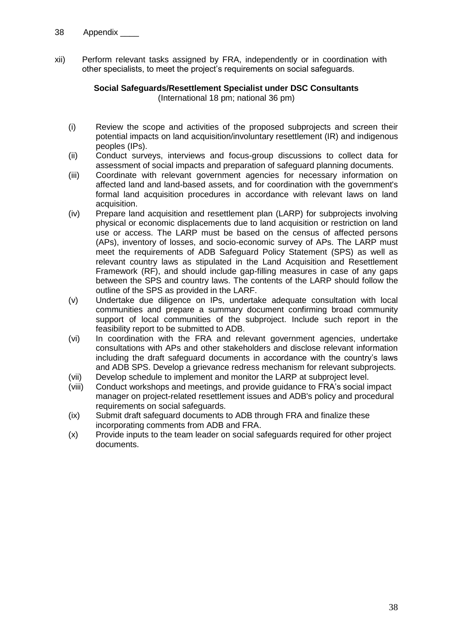xii) Perform relevant tasks assigned by FRA, independently or in coordination with other specialists, to meet the project's requirements on social safeguards.

#### **Social Safeguards/Resettlement Specialist under DSC Consultants**  (International 18 pm; national 36 pm)

- (i) Review the scope and activities of the proposed subprojects and screen their potential impacts on land acquisition/involuntary resettlement (IR) and indigenous peoples (IPs).
- (ii) Conduct surveys, interviews and focus-group discussions to collect data for assessment of social impacts and preparation of safeguard planning documents.
- (iii) Coordinate with relevant government agencies for necessary information on affected land and land-based assets, and for coordination with the government's formal land acquisition procedures in accordance with relevant laws on land acquisition.
- (iv) Prepare land acquisition and resettlement plan (LARP) for subprojects involving physical or economic displacements due to land acquisition or restriction on land use or access. The LARP must be based on the census of affected persons (APs), inventory of losses, and socio-economic survey of APs. The LARP must meet the requirements of ADB Safeguard Policy Statement (SPS) as well as relevant country laws as stipulated in the Land Acquisition and Resettlement Framework (RF), and should include gap-filling measures in case of any gaps between the SPS and country laws. The contents of the LARP should follow the outline of the SPS as provided in the LARF.
- (v) Undertake due diligence on IPs, undertake adequate consultation with local communities and prepare a summary document confirming broad community support of local communities of the subproject. Include such report in the feasibility report to be submitted to ADB.
- (vi) In coordination with the FRA and relevant government agencies, undertake consultations with APs and other stakeholders and disclose relevant information including the draft safeguard documents in accordance with the country's laws and ADB SPS. Develop a grievance redress mechanism for relevant subprojects.
- (vii) Develop schedule to implement and monitor the LARP at subproject level.
- (viii) Conduct workshops and meetings, and provide guidance to FRA's social impact manager on project-related resettlement issues and ADB's policy and procedural requirements on social safeguards.
- (ix) Submit draft safeguard documents to ADB through FRA and finalize these incorporating comments from ADB and FRA.
- (x) Provide inputs to the team leader on social safeguards required for other project documents.